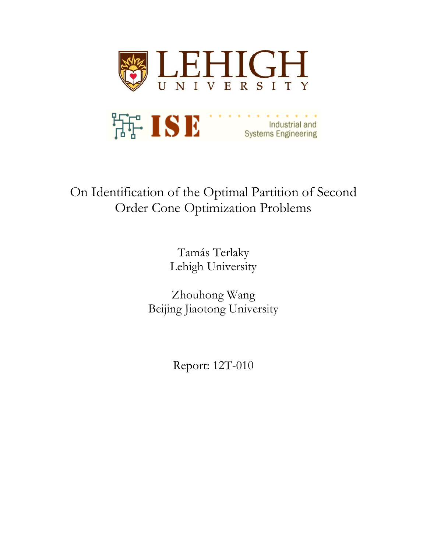

# On Identification of the Optimal Partition of Second Order Cone Optimization Problems

Tamás Terlaky Lehigh University

Zhouhong Wang Beijing Jiaotong University

Report: 12T-010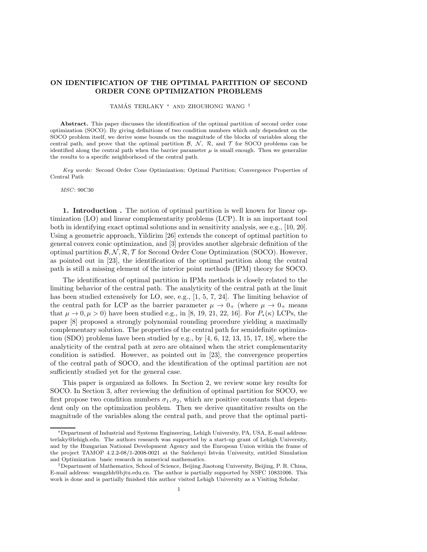### ON IDENTIFICATION OF THE OPTIMAL PARTITION OF SECOND ORDER CONE OPTIMIZATION PROBLEMS

TAMÁS TERLAKY \* AND ZHOUHONG WANG <sup>†</sup>

Abstract. This paper discusses the identification of the optimal partition of second order cone optimization (SOCO). By giving definitions of two condition numbers which only dependent on the SOCO problem itself, we derive some bounds on the magnitude of the blocks of variables along the central path, and prove that the optimal partition  $\mathcal{B}$ ,  $\mathcal{N}$ ,  $\mathcal{R}$ , and  $\mathcal{T}$  for SOCO problems can be identified along the central path when the barrier parameter  $\mu$  is small enough. Then we generalize the results to a specific neighborhood of the central path.

*Key words:* Second Order Cone Optimization; Optimal Partition; Convergence Properties of Central Path

#### *MSC*: 90C30

1. Introduction . The notion of optimal partition is well known for linear optimization (LO) and linear complementarity problems (LCP). It is an important tool both in identifying exact optimal solutions and in sensitivity analysis, see e.g., [10, 20]. Using a geometric approach, Yildirim [26] extends the concept of optimal partition to general convex conic optimization, and [3] provides another algebraic definition of the optimal partition  $\mathcal{B}, \mathcal{N}, \mathcal{R}, \mathcal{T}$  for Second Order Cone Optimization (SOCO). However, as pointed out in [23], the identification of the optimal partition along the central path is still a missing element of the interior point methods (IPM) theory for SOCO.

The identification of optimal partition in IPMs methods is closely related to the limiting behavior of the central path. The analyticity of the central path at the limit has been studied extensively for LO, see, e.g., [1, 5, 7, 24]. The limiting behavior of the central path for LCP as the barrier parameter  $\mu \to 0_+$  (where  $\mu \to 0_+$  means that  $\mu \to 0, \mu > 0$ ) have been studied e.g., in [8, 19, 21, 22, 16]. For  $P_*(\kappa)$  LCPs, the paper [8] proposed a strongly polynomial rounding procedure yielding a maximally complementary solution. The properties of the central path for semidefinite optimization (SDO) problems have been studied by e.g., by [4, 6, 12, 13, 15, 17, 18], where the analyticity of the central path at zero are obtained when the strict complementarity condition is satisfied. However, as pointed out in [23], the convergence properties of the central path of SOCO, and the identification of the optimal partition are not sufficiently studied yet for the general case.

This paper is organized as follows. In Section 2, we review some key results for SOCO. In Section 3, after reviewing the definition of optimal partition for SOCO, we first propose two condition numbers  $\sigma_1, \sigma_2$ , which are positive constants that dependent only on the optimization problem. Then we derive quantitative results on the magnitude of the variables along the central path, and prove that the optimal parti-

<sup>∗</sup>Department of Industrial and Systems Engineering, Lehigh University, PA, USA, E-mail address: terlaky@lehigh.edu. The authors research was supported by a start-up grant of Lehigh University, and by the Hungarian National Development Agency and the European Union within the frame of the project TAMOP 4.2.2-08/1-2008-0021 at the Széchenyi István University, entitled Simulation and Optimization basic research in numerical mathematics.

<sup>†</sup>Department of Mathematics, School of Science, Beijing Jiaotong University, Beijing, P. R. China, E-mail address: wangzhh@bjtu.edu.cn. The author is partially supported by NSFC 10831006. This work is done and is partially finished this author visited Lehigh University as a Visiting Scholar.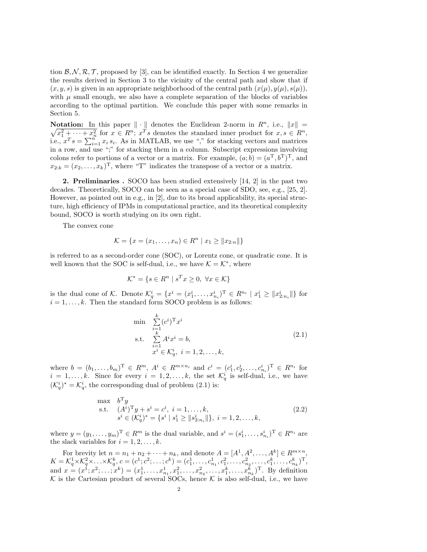tion  $\mathcal{B}, \mathcal{N}, \mathcal{R}, \mathcal{T}$ , proposed by [3], can be identified exactly. In Section 4 we generalize the results derived in Section 3 to the vicinity of the central path and show that if  $(x, y, s)$  is given in an appropriate neighborhood of the central path  $(x(\mu), y(\mu), s(\mu))$ , with  $\mu$  small enough, we also have a complete separation of the blocks of variables according to the optimal partition. We conclude this paper with some remarks in Section 5.

**Notation:** In this paper  $\|\cdot\|$  denotes the Euclidean 2-norm in  $R^n$ , i.e.,  $\|x\| = \sqrt{x_1^2 + \cdots + x_n^2}$  for  $x \in R^n$ ;  $x^T s$  denotes the standard inner product for  $x, s \in R^n$ , **Notation:** In this paper  $\|\cdot\|$  denotes the Euclidean 2-norm in  $R^n$ , i.e.,  $\|x\|$  = i.e.,  $x^T s = \sum_{i=1}^n x_i s_i$ . As in MATLAB, we use "," for stacking vectors and matrices in a row, and use ";" for stacking them in a column. Subscript expressions involving colons refer to portions of a vector or a matrix. For example,  $(a, b) = (a^{\mathrm{T}}, b^{\mathrm{T}})^{\mathrm{T}}$ , and  $x_{2:k} = (x_2, \ldots, x_k)^{\mathrm{T}}$ , where "T" indicates the transpose of a vector or a matrix.

2. Preliminaries . SOCO has been studied extensively [14, 2] in the past two decades. Theoretically, SOCO can be seen as a special case of SDO, see, e.g., [25, 2]. However, as pointed out in e.g., in [2], due to its broad applicability, its special structure, high efficiency of IPMs in computational practice, and its theoretical complexity bound, SOCO is worth studying on its own right.

The convex cone

$$
\mathcal{K} = \{x = (x_1, \dots, x_n) \in R^n \mid x_1 \geq ||x_{2:n}||\}
$$

is referred to as a second-order cone (SOC), or Lorentz cone, or quadratic cone. It is well known that the SOC is self-dual, i.e., we have  $K = \mathcal{K}^*$ , where

$$
\mathcal{K}^* = \{ s \in R^n \mid s^T x \ge 0, \ \forall x \in \mathcal{K} \}
$$

is the dual cone of K. Denote  $\mathcal{K}_q^i = \{x^i = (x_1^i, \ldots, x_{n_i}^i)^\mathrm{T} \in R^{n_i} \mid x_1^i \geq \|x_{2:n_i}^i\|\}$  for  $i = 1, \ldots, k$ . Then the standard form SOCO problem is as follows:

min 
$$
\sum_{i=1}^{k} (c^i)^{\mathrm{T}} x^i
$$
  
s.t. 
$$
\sum_{i=1}^{k} A^i x^i = b,
$$

$$
x^i \in \mathcal{K}_q^i, \ i = 1, 2, ..., k,
$$
 (2.1)

where  $b = (b_1, ..., b_m)^T \in R^m$ ,  $A^i \in R^{m \times n_i}$  and  $c^i = (c_1^i, c_2^i, ..., c_{n_i}^i)^T \in R^{n_i}$  for  $i = 1, \ldots, k$ . Since for every  $i = 1, 2, \ldots, k$ , the set  $\mathcal{K}_q^i$  is self-dual, i.e., we have  $(\mathcal{K}_q^i)^* = \mathcal{K}_q^i$ , the corresponding dual of problem  $(2.1)$  is:

max 
$$
b^T y
$$
  
\ns.t.  $(A^i)^T y + s^i = c^i, i = 1,..., k,$   
\n $s^i \in (\mathcal{K}_q^i)^* = \{s^i | s_1^i \ge ||s_{2:n_i}^i||\}, i = 1, 2, ..., k,$  (2.2)

where  $y = (y_1, \ldots, y_m)^T \in R^m$  is the dual variable, and  $s^i = (s_1^i, \ldots, s_{n_i}^i)^T \in R^{n_i}$  are the slack variables for  $i = 1, 2, \ldots, k$ .

For brevity let  $n = n_1 + n_2 + \cdots + n_k$ , and denote  $A = [A^1, A^2, \ldots, A^k] \in R^{m \times n}$  $K = \mathcal{K}_q^1 \times \mathcal{K}_q^2 \times \ldots \times \mathcal{K}_q^k, c = (c^1; c^2; \ldots; c^k) = (c_1^1, \ldots, c_{n_1}^1, c_1^2, \ldots, c_{n_2}^2, \ldots, c_1^k, \ldots, c_{n_k}^k)^T,$ and  $x = (x^1; x^2; \ldots; x^k) = (x_1^1, \ldots, x_{n_1}^1, x_1^2, \ldots, x_{n_2}^2, \ldots, x_1^k, \ldots, x_{n_k}^k)^T$ . By definition  $K$  is the Cartesian product of several SOCs, hence  $K$  is also self-dual, i.e., we have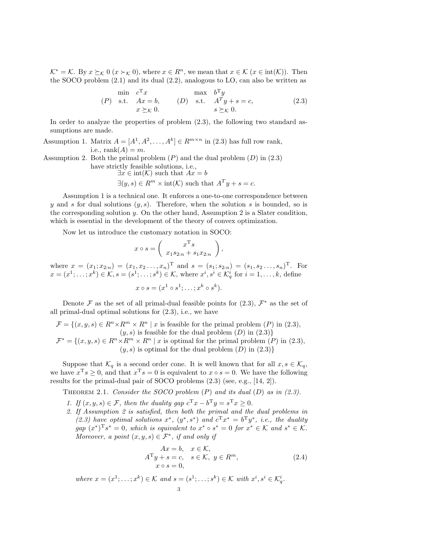$\mathcal{K}^* = \mathcal{K}$ . By  $x \succeq_{\mathcal{K}} 0$   $(x \succ_{\mathcal{K}} 0)$ , where  $x \in \mathbb{R}^n$ , we mean that  $x \in \mathcal{K}$   $(x \in \text{int}(\mathcal{K}))$ . Then the SOCO problem (2.1) and its dual (2.2), analogous to LO, can also be written as

$$
\begin{array}{ll}\n\text{min} & c^{\mathrm{T}}x & \text{max} & b^{\mathrm{T}}y \\
(P) & \text{s.t.} & Ax = b, \\
& x \succeq_{\mathcal{K}} 0. & \text{s.t.} & A^{\mathrm{T}}y + s = c,\n\end{array}\n\tag{2.3}
$$

In order to analyze the properties of problem (2.3), the following two standard assumptions are made.

Assumption 1. Matrix  $A = [A^1, A^2, \dots, A^k] \in R^{m \times n}$  in (2.3) has full row rank, i.e.,  $rank(A) = m$ .

Assumption 2. Both the primal problem  $(P)$  and the dual problem  $(D)$  in  $(2.3)$ have strictly feasible solutions, i.e.,

$$
\exists x \in int(K) \text{ such that } Ax = b
$$
  

$$
\exists (y, s) \in R^m \times int(K) \text{ such that } A^T y + s = c.
$$

Assumption 1 is a technical one. It enforces a one-to-one correspondence between y and s for dual solutions  $(y, s)$ . Therefore, when the solution s is bounded, so is the corresponding solution  $y$ . On the other hand, Assumption 2 is a Slater condition, which is essential in the development of the theory of convex optimization.

Now let us introduce the customary notation in SOCO:

$$
x \circ s = \begin{pmatrix} x^{\mathrm{T}} s \\ x_1 s_{2:n} + s_1 x_{2:n} \end{pmatrix}
$$

where  $x = (x_1, x_{2:n}) = (x_1, x_2, \ldots, x_n)$ <sup>T</sup> and  $s = (s_1, s_{2:n}) = (s_1, s_2, \ldots, s_n)$ <sup>T</sup>. For  $x = (x^1; \ldots; x^k) \in \mathcal{K}, s = (s^1; \ldots; s^k) \in \mathcal{K}$ , where  $x^i, s^i \in \mathcal{K}_q^i$  for  $i = 1, \ldots, k$ , define

$$
x \circ s = (x^1 \circ s^1; \ldots; x^k \circ s^k).
$$

Denote  $\mathcal F$  as the set of all primal-dual feasible points for  $(2.3)$ ,  $\mathcal F^*$  as the set of all primal-dual optimal solutions for (2.3), i.e., we have

$$
\mathcal{F} = \{(x, y, s) \in R^n \times R^m \times R^n \mid x \text{ is feasible for the primal problem } (P) \text{ in } (2.3), (y, s) \text{ is feasible for the dual problem } (D) \text{ in } (2.3),
$$
\n
$$
\mathcal{F}^* = \{ (x, y, s) \in R^n \times R^m \times R^n \mid x \text{ is satisfied for the dual problem } (D) \text{ in } (2.3), (3.3) \}
$$

 $\mathcal{F}^* = \{(x, y, s) \in R^n \times R^m \times R^n \mid x \text{ is optimal for the primal problem } (P) \text{ in } (2.3),\}$  $(y, s)$  is optimal for the dual problem  $(D)$  in  $(2.3)$ }

Suppose that  $\mathcal{K}_q$  is a second order cone. It is well known that for all  $x, s \in \mathcal{K}_q$ , we have  $x^T s \geq 0$ , and that  $x^T s = 0$  is equivalent to  $x \circ s = 0$ . We have the following results for the primal-dual pair of SOCO problems (2.3) (see, e.g., [14, 2]).

Theorem 2.1. *Consider the SOCO problem* (P) *and its dual* (D) *as in (2.3).*

- *1. If*  $(x, y, s) \in \mathcal{F}$ , then the duality gap  $c^{\mathrm{T}} x b^{\mathrm{T}} y = s^{\mathrm{T}} x \geq 0$ .
- *2. If Assumption 2 is satisfied, then both the primal and the dual problems in* (2.3) have optimal solutions  $x^*$ ,  $(y^*, s^*)$  and  $c^T x^* = b^T y^*$ , *i.e.*, the duality  $gap(x^*)^T s^* = 0$ , which is equivalent to  $x^* \circ s^* = 0$  for  $x^* \in \mathcal{K}$  and  $s^* \in \mathcal{K}$ . *Moreover, a point*  $(x, y, s) \in \mathcal{F}^*$ *, if and only if*

$$
Ax = b, \quad x \in \mathcal{K},
$$
  
\n
$$
A^{\mathrm{T}}y + s = c, \quad s \in \mathcal{K}, \quad y \in R^{m},
$$
  
\n
$$
x \circ s = 0,
$$
\n(2.4)

,

*where*  $x = (x^1; \ldots; x^k) \in \mathcal{K}$  *and*  $s = (s^1; \ldots; s^k) \in \mathcal{K}$  *with*  $x^i, s^i \in \mathcal{K}_q^i$ .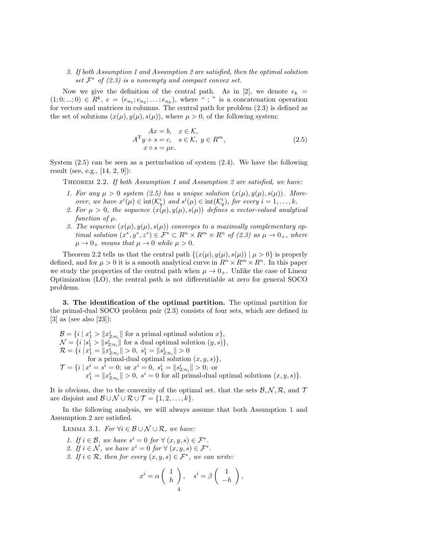## *3. If both Assumption 1 and Assumption 2 are satisfied, then the optimal solution*  $set \; \mathcal{F}^*$  *of (2.3) is a nonempty and compact convex set.*

Now we give the definition of the central path. As in [2], we denote  $e_k$  =  $(1;0;...;0) \in R^k$ ,  $e = (e_{n_1}; e_{n_2};...; e_{n_k})$ , where "; " is a concatenation operation for vectors and matrices in columns. The central path for problem (2.3) is defined as the set of solutions  $(x(\mu), y(\mu), s(\mu))$ , where  $\mu > 0$ , of the following system:

$$
Ax = b, \quad x \in \mathcal{K},
$$
  
\n
$$
A^{T}y + s = c, \quad s \in \mathcal{K}, \ y \in R^{m},
$$
  
\n
$$
x \circ s = \mu e.
$$
\n(2.5)

System  $(2.5)$  can be seen as a perturbation of system  $(2.4)$ . We have the following result (see, e.g., [14, 2, 9]):

Theorem 2.2. *If both Assumption 1 and Assumption 2 are satisfied, we have:*

- 1. For any  $\mu > 0$  system (2.5) has a unique solution  $(x(\mu), y(\mu), s(\mu))$ . More*over, we have*  $x^{i}(\mu) \in \text{int}(\mathcal{K}_q^i)$  *and*  $s^{i}(\mu) \in \text{int}(\mathcal{K}_q^i)$ *, for every*  $i = 1, ..., k$ *.*
- 2. For  $\mu > 0$ , the sequence  $(x(\mu), y(\mu), s(\mu))$  defines a vector-valued analytical  $function of  $\mu$ .$
- 3. The sequence  $(x(\mu), y(\mu), s(\mu))$  converges to a maximally complementary op*timal solution*  $(x^*, y^*, z^*) \in \mathcal{F}^* \subset R^n \times R^m \times R^n$  of (2.3) as  $\mu \to 0_+$ , where  $\mu \rightarrow 0_+$  *means that*  $\mu \rightarrow 0$  *while*  $\mu > 0$ *.*

Theorem 2.2 tells us that the central path  $\{(x(\mu), y(\mu), s(\mu)) \mid \mu > 0\}$  is properly defined, and for  $\mu > 0$  it is a smooth analytical curve in  $R^n \times R^m \times R^n$ . In this paper we study the properties of the central path when  $\mu \rightarrow 0_+$ . Unlike the case of Linear Optimization (LO), the central path is not differentiable at zero for general SOCO problems.

3. The identification of the optimal partition. The optimal partition for the primal-dual SOCO problem pair (2.3) consists of four sets, which are defined in [3] as (see also [23]):

 $\mathcal{B} = \{i \mid x_1^i > ||x_{2:n_i}^i|| \text{ for a primal optimal solution } x\},\$  $\mathcal{N} = \{i \mid s_1^i > ||s_{2:n_i}^i|| \text{ for a dual optimal solution } (y, s)\},\$  $\mathcal{R} = \{i \mid x_1^i = \|x_{2:n_i}^i\| > 0, s_1^i = \|s_{2:n_i}^i\| > 0$ for a primal-dual optimal solution  $(x, y, s)$ ,  $\mathcal{T} = \{i \mid x^i = s^i = 0; \text{ or } x^i = 0, s_1^i = ||s_{2:n_i}^i|| > 0; \text{ or }$  $x_1^i = \|x_{2:n_i}^i\| > 0$ ,  $s^i = 0$  for all primal-dual optimal solutions  $(x, y, s)$ .

It is obvious, due to the convexity of the optimal set, that the sets  $\mathcal{B}, \mathcal{N}, \mathcal{R}$ , and  $\mathcal{T}$ are disjoint and  $\mathcal{B} \cup \mathcal{N} \cup \mathcal{R} \cup \mathcal{T} = \{1, 2, \ldots, k\}.$ 

In the following analysis, we will always assume that both Assumption 1 and Assumption 2 are satisfied.

LEMMA 3.1. *For*  $\forall i \in \mathcal{B} \cup \mathcal{N} \cup \mathcal{R}$ *, we have:* 

*1.* If  $i \in \mathcal{B}$ , we have  $s^i = 0$  for  $\forall (x, y, s) \in \mathcal{F}^*$ . 2. If  $i \in \mathcal{N}$ , we have  $x^i = 0$  for  $\forall (x, y, s) \in \mathcal{F}^*$ . *3.* If  $i \in \mathcal{R}$ , then for every  $(x, y, s) \in \mathcal{F}^*$ , we can write:  $\sqrt{1-x^2}$ 

$$
x^{i} = \alpha \begin{pmatrix} 1 \\ h \end{pmatrix}, \quad s^{i} = \beta \begin{pmatrix} 1 \\ -h \end{pmatrix},
$$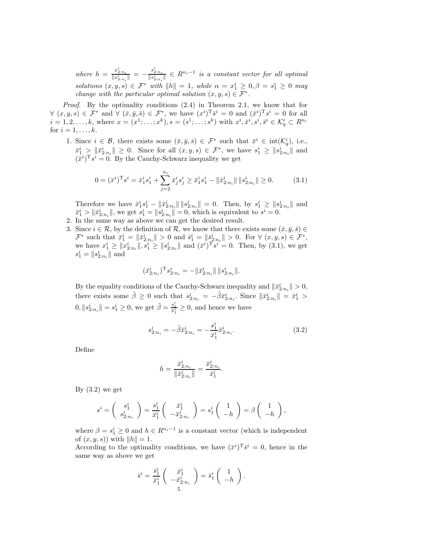$where h = \frac{x_{2:n_i}^i}{\|x_{2:n_i}^i\|} = -\frac{s_{2:n_i}^i}{\|s_{2:n_i}^i\|} \in R^{n_i-1}$  is a constant vector for all optimal *solutions*  $(x, y, s) \in \mathcal{F}^*$  *with*  $||h|| = 1$ *, while*  $\alpha = x_1^i \geq 0, \beta = s_1^i \geq 0$  *may change with the particular optimal solution*  $(x, y, s) \in \mathcal{F}^*$ .

*Proof.* By the optimality conditions  $(2.4)$  in Theorem 2.1, we know that for  $\forall (x, y, s) \in \mathcal{F}^*$  and  $\forall (\bar{x}, \bar{y}, \bar{s}) \in \mathcal{F}^*$ , we have  $(x^i)^T \bar{s}^i = 0$  and  $(\bar{x}^i)^T s^i = 0$  for all  $i = 1, 2, \ldots, k$ , where  $x = (x^1; \ldots; x^k)$ ,  $s = (s^1; \ldots; s^k)$  with  $x^i, \bar{x}^i, s^i, \bar{s}^i \in \mathcal{K}_q^i \subset R^{n_i}$ for  $i = 1, \ldots, k$ .

1. Since  $i \in \mathcal{B}$ , there exists some  $(\bar{x}, \bar{y}, \bar{s}) \in \mathcal{F}^*$  such that  $\bar{x}^i \in \text{int}(\mathcal{K}_q^i)$ , i.e.,  $\bar{x}_1^i \geq \|\bar{x}_{2:n_i}^i\| \geq 0$ . Since for all  $(x, y, s) \in \mathcal{F}^*$ , we have  $s_1^i \geq \|s_{2:n_i}^i\|$  and  $(\bar{x}^i)^T s^i = 0$ . By the Cauchy-Schwarz inequality we get

$$
0 = (\bar{x}^i)^T s^i = \bar{x}_1^i s_1^i + \sum_{j=2}^{n_i} \bar{x}_j^i s_j^i \ge \bar{x}_1^i s_1^i - \|\bar{x}_2^i_{n_i}\| \|s_{2:n_i}^i\| \ge 0.
$$
 (3.1)

Therefore we have  $\bar{x}_1^i s_1^i - ||\bar{x}_{2:n_i}^i|| ||s_{2:n_i}^i|| = 0$ . Then, by  $s_1^i \ge ||s_{2:n_i}^i||$  and  $\bar{x}_1^i > ||\bar{x}_{2:n_i}^i||$ , we get  $s_1^i = ||s_{2:n_i}^i|| = 0$ , which is equivalent to  $s^i = 0$ .

- 2. In the same way as above we can get the desired result.
- 3. Since  $i \in \mathcal{R}$ , by the definition of  $\mathcal{R}$ , we know that there exists some  $(\bar{x}, \bar{y}, \bar{s}) \in$  $\mathcal{F}^*$  such that  $\bar{x}_1^i = \|\bar{x}_{2:n_i}^i\| > 0$  and  $\bar{s}_1^i = \|\bar{s}_{2:n_i}^i\| > 0$ . For  $\forall (x, y, s) \in \mathcal{F}^*$ , we have  $x_1^i \ge ||x_{2:n_i}^i||, s_1^i \ge ||s_{2:n_i}^i||$  and  $(\bar{x}^i)^T s^i = 0$ . Then, by (3.1), we get  $s_1^i = \|s_{2:n_i}^i\|$  and

$$
(\bar{x}_{2:n_i}^i)^{\mathrm{T}} s_{2:n_i}^i = -\|\bar{x}_{2:n_i}^i\| \, \|s_{2:n_i}^i\|.
$$

By the equality conditions of the Cauchy-Schwarz inequality and  $\|\bar{x}_{2:n_i}^i\| > 0$ , there exists some  $\tilde{\beta} \geq 0$  such that  $s_{2:n_i}^i = -\tilde{\beta} \bar{x}_{2:n_i}^i$ . Since  $\|\bar{x}_{2:n_i}^i\| = \bar{x}_1^i >$  $0, \|s_{2:n_i}^i\| = s_1^i \geq 0$ , we get  $\tilde{\beta} = \frac{s_1^i}{\tilde{x}_1^i} \geq 0$ , and hence we have

$$
s_{2:n_i}^i = -\tilde{\beta}\bar{x}_{2:n_i}^i = -\frac{s_1^i}{\bar{x}_1^i}\bar{x}_{2:n_i}^i.
$$
 (3.2)

.

Define

$$
h = \frac{\bar{x}_{2:n_i}^i}{\|\bar{x}_{2:n_i}^i\|} = \frac{\bar{x}_{2:n_i}^i}{\bar{x}_1^i}
$$

By  $(3.2)$  we get

$$
s^i = \begin{pmatrix} s_1^i \\ s_{2:n_i}^i \end{pmatrix} = \frac{s_1^i}{\bar{x}_1^i} \begin{pmatrix} \bar{x}_1^i \\ -\bar{x}_{2:n_i}^i \end{pmatrix} = s_1^i \begin{pmatrix} 1 \\ -h \end{pmatrix} = \beta \begin{pmatrix} 1 \\ -h \end{pmatrix},
$$

where  $\beta = s_1^i \geq 0$  and  $h \in R^{n_i-1}$  is a constant vector (which is independent of  $(x, y, s)$  with  $||h|| = 1$ .

According to the optimality conditions, we have  $(\bar{x}^i)^T \bar{s}^i = 0$ , hence in the same way as above we get

$$
\bar{s}^i = \frac{\bar{s}_1^i}{\bar{x}_1^i} \begin{pmatrix} \bar{x}_1^i \\ -\bar{x}_{2:n_i}^i \end{pmatrix} = \bar{s}_1^i \begin{pmatrix} 1 \\ -h \end{pmatrix}.
$$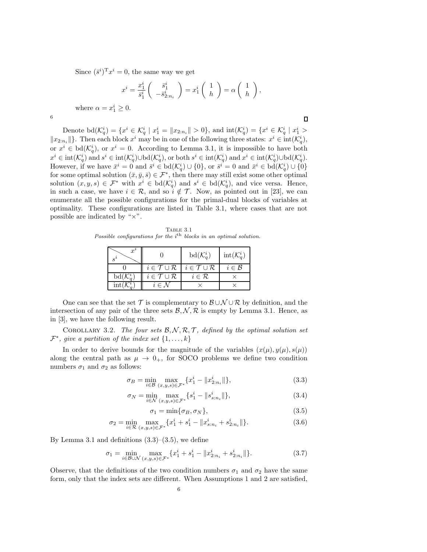Since  $(\bar{s}^i)^T x^i = 0$ , the same way we get

$$
x^{i} = \frac{x_1^{i}}{\bar{s}_1^{i}} \begin{pmatrix} \bar{s}_1^{i} \\ -\bar{s}_2^{i} \cdot n_i \end{pmatrix} = x_1^{i} \begin{pmatrix} 1 \\ h \end{pmatrix} = \alpha \begin{pmatrix} 1 \\ h \end{pmatrix},
$$

where  $\alpha = x_1^i \geq 0$ .

6

 $\Box$ 

Denote  $\text{bd}(\mathcal{K}_q^i) = \{x^i \in \mathcal{K}_q^i \mid x_1^i = \|x_{2:n_i}\| > 0\}$ , and  $\text{int}(\mathcal{K}_q^i) = \{x^i \in \mathcal{K}_q^i \mid x_1^i > 0\}$  $||x_{2:n_i}||$ . Then each block  $x^i$  may be in one of the following three states:  $x^i \in \text{int}(\mathcal{K}_q^i)$ , or  $x^i \in \text{bd}(\mathcal{K}_q^i)$ , or  $x^i = 0$ . According to Lemma 3.1, it is impossible to have both  $x^i \in \text{int}(\mathcal{K}_q^i)$  and  $s^i \in \text{int}(\mathcal{K}_q^i) \cup \text{bd}(\mathcal{K}_q^i)$ , or both  $s^i \in \text{int}(\mathcal{K}_q^i)$  and  $x^i \in \text{int}(\mathcal{K}_q^i) \cup \text{bd}(\mathcal{K}_q^i)$ . However, if we have  $\bar{x}^i = 0$  and  $\bar{s}^i \in \text{bd}(\mathcal{K}_q^i) \cup \{0\}$ , or  $\bar{s}^i = 0$  and  $\bar{x}^i \in \text{bd}(\mathcal{K}_q^i) \cup \{0\}$ for some optimal solution  $(\bar{x}, \bar{y}, \bar{s}) \in \mathcal{F}^*$ , then there may still exist some other optimal solution  $(x, y, s) \in \mathcal{F}^*$  with  $x^i \in \text{bd}(\mathcal{K}_q^i)$  and  $s^i \in \text{bd}(\mathcal{K}_q^i)$ , and vice versa. Hence, in such a case, we have  $i \in \mathcal{R}$ , and so  $i \notin \mathcal{T}$ . Now, as pointed out in [23], we can enumerate all the possible configurations for the primal-dual blocks of variables at optimality. These configurations are listed in Table 3.1, where cases that are not possible are indicated by "×".

Table 3.1 Possible configurations for the *i*<sup>th</sup> blocks in an optimal solution.

| $\boldsymbol{x}$<br>$\mathbf{S}^{\ell}$ |                                      | $\mathrm{bd}(\mathcal{K}_a^i)$       | $\mathrm{int}(\mathcal{K}_a^i)$ |
|-----------------------------------------|--------------------------------------|--------------------------------------|---------------------------------|
|                                         | $i \in \mathcal{T} \cup \mathcal{R}$ | $i \in \mathcal{T} \cup \mathcal{R}$ | $i \in \mathcal{B}$             |
| $\mathrm{bd}(\mathcal{K}_{a}^{\imath})$ | $i \in \mathcal{T} \cup \mathcal{R}$ | $i \in \mathcal{R}$                  |                                 |
|                                         | $i \in \mathcal{N}$                  |                                      |                                 |

One can see that the set  $\mathcal T$  is complementary to  $\mathcal B\cup\mathcal N\cup\mathcal R$  by definition, and the intersection of any pair of the three sets  $\mathcal{B}, \mathcal{N}, \mathcal{R}$  is empty by Lemma 3.1. Hence, as in [3], we have the following result.

COROLLARY 3.2. The four sets  $\mathcal{B}, \mathcal{N}, \mathcal{R}, \mathcal{T}$ , defined by the optimal solution set  $\mathcal{F}^*$ , give a partition of the index set  $\{1,\ldots,k\}$ 

In order to derive bounds for the magnitude of the variables  $(x(\mu), y(\mu), s(\mu))$ along the central path as  $\mu \rightarrow 0_+$ , for SOCO problems we define two condition numbers  $\sigma_1$  and  $\sigma_2$  as follows:

$$
\sigma_B = \min_{i \in \mathcal{B}} \max_{(x, y, s) \in \mathcal{F}^*} \{ x_1^i - ||x_{2:n_i}^i|| \},\tag{3.3}
$$

$$
\sigma_N = \min_{i \in \mathcal{N}} \max_{(x, y, s) \in \mathcal{F}^*} \{ s_1^i - \| s_{s, n_i}^i \| \},\tag{3.4}
$$

$$
\sigma_1 = \min\{\sigma_B, \sigma_N\},\tag{3.5}
$$

$$
\sigma_2 = \min_{i \in \mathcal{R}} \max_{(x, y, s) \in \mathcal{F}^*} \{ x_1^i + s_1^i - \| x_{s; n_i}^i + s_{2; n_i}^i \| \}.
$$
 (3.6)

By Lemma 3.1 and definitions  $(3.3)$ – $(3.5)$ , we define

$$
\sigma_1 = \min_{i \in \mathcal{B} \cup \mathcal{N}} \max_{(x, y, s) \in \mathcal{F}^*} \{ x_1^i + s_1^i - \| x_{2:n_i}^i + s_{2:n_i}^i \| \}. \tag{3.7}
$$

Observe, that the definitions of the two condition numbers  $\sigma_1$  and  $\sigma_2$  have the same form, only that the index sets are different. When Assumptions 1 and 2 are satisfied,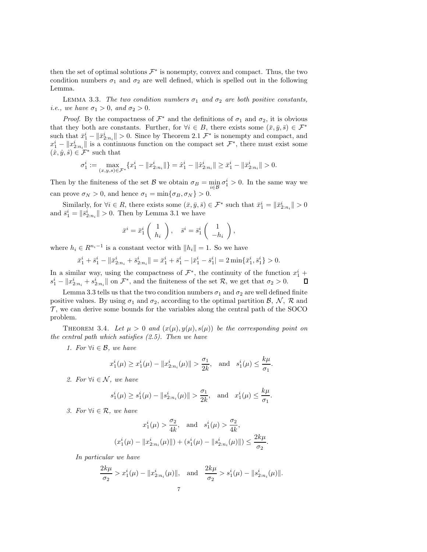then the set of optimal solutions  $\mathcal{F}^*$  is nonempty, convex and compact. Thus, the two condition numbers  $\sigma_1$  and  $\sigma_2$  are well defined, which is spelled out in the following Lemma.

LEMMA 3.3. *The two condition numbers*  $\sigma_1$  *and*  $\sigma_2$  *are both positive constants, i.e.*, we have  $\sigma_1 > 0$ , and  $\sigma_2 > 0$ .

*Proof.* By the compactness of  $\mathcal{F}^*$  and the definitions of  $\sigma_1$  and  $\sigma_2$ , it is obvious that they both are constants. Further, for  $\forall i \in B$ , there exists some  $(\bar{x}, \bar{y}, \bar{s}) \in \mathcal{F}^*$ such that  $\bar{x}_1^i - \|\bar{x}_{2:n_i}^i\| > 0$ . Since by Theorem 2.1  $\mathcal{F}^*$  is nonempty and compact, and  $x_1^i - ||x_{2:n_i}^i||$  is a continuous function on the compact set  $\mathcal{F}^*$ , there must exist some  $(\hat{x}, \hat{y}, \hat{s}) \in \mathcal{F}^*$  such that

$$
\sigma^i_1:=\max_{(x,y,s)\in\mathcal{F}^*}\{x^i_1-\|x^i_{2:n_i}\|\}=\hat{x}^i_1-\|\hat{x}^i_{2:n_i}\|\geq \bar{x}^i_1-\|\bar{x}^i_{2:n_i}\|>0.
$$

Then by the finiteness of the set  $\mathcal{B}$  we obtain  $\sigma_B = \min_{i \in \mathcal{B}} \sigma_i^i > 0$ . In the same way we can prove  $\sigma_N > 0$ , and hence  $\sigma_1 = \min{\{\sigma_B, \sigma_N\}} > 0$ .

Similarly, for  $\forall i \in R$ , there exists some  $(\bar{x}, \bar{y}, \bar{s}) \in \mathcal{F}^*$  such that  $\bar{x}_1^i = ||\bar{x}_{2:n_i}^i|| > 0$ and  $\bar{s}_1^i = ||\bar{s}_{2:n_i}^i|| > 0$ . Then by Lemma 3.1 we have

$$
\bar{x}^i = \bar{x}_1^i \begin{pmatrix} 1 \\ h_i \end{pmatrix}, \quad \bar{s}^i = \bar{s}_1^i \begin{pmatrix} 1 \\ -h_i \end{pmatrix},
$$

where  $h_i \in R^{n_i-1}$  is a constant vector with  $||h_i|| = 1$ . So we have

$$
\bar{x}_1^i + \bar{s}_1^i - \|\bar{x}_{2:n_i}^i + \bar{s}_{2:n_i}^i\| = \bar{x}_1^i + \bar{s}_1^i - |\bar{x}_1^i - \bar{s}_1^i| = 2\min\{\bar{x}_1^i, \bar{s}_1^i\} > 0.
$$

In a similar way, using the compactness of  $\mathcal{F}^*$ , the continuity of the function  $x_1^i$  +  $s_1^i - \|x_{2:n_i}^i + s_{2:n_i}^i\|$  on  $\mathcal{F}^*$ , and the finiteness of the set  $\mathcal{R}$ , we get that  $\sigma_2 > 0$ .

Lemma 3.3 tells us that the two condition numbers  $\sigma_1$  and  $\sigma_2$  are well defined finite positive values. By using  $\sigma_1$  and  $\sigma_2$ , according to the optimal partition  $\mathcal{B}, \mathcal{N}, \mathcal{R}$  and  $\mathcal{T}$ , we can derive some bounds for the variables along the central path of the SOCO problem.

THEOREM 3.4. Let  $\mu > 0$  and  $(x(\mu), y(\mu), s(\mu))$  be the corresponding point on *the central path which satisfies (2.5). Then we have*

*1. For*  $∀i ∈ B$ *, we have* 

$$
x_1^i(\mu) \ge x_1^i(\mu) - ||x_{2:n_i}^i(\mu)|| > \frac{\sigma_1}{2k}
$$
, and  $s_1^i(\mu) \le \frac{k\mu}{\sigma_1}$ .

2. For  $\forall i \in \mathcal{N}$ , we have

$$
s_1^i(\mu) \ge s_1^i(\mu) - ||s_{2:n_i}^i(\mu)|| > \frac{\sigma_1}{2k}
$$
, and  $x_1^i(\mu) \le \frac{k\mu}{\sigma_1}$ .

*3. For*  $∀i ∈ R$ *, we have* 

$$
x_1^i(\mu) > \frac{\sigma_2}{4k}, \text{ and } s_1^i(\mu) > \frac{\sigma_2}{4k},
$$
  

$$
x_1^i(\mu) - ||x_{2:n_i}^i(\mu)|| + (s_1^i(\mu) - ||s_{2:n_i}^i(\mu)||) \le \frac{2k\mu}{\sigma_2}.
$$

*In particular we have*

 $\overline{(\ }$ 

$$
\frac{2k\mu}{\sigma_2} > x_1^i(\mu) - \|x_{2:n_i}^i(\mu)\|, \text{ and } \frac{2k\mu}{\sigma_2} > s_1^i(\mu) - \|s_{2:n_i}^i(\mu)\|.
$$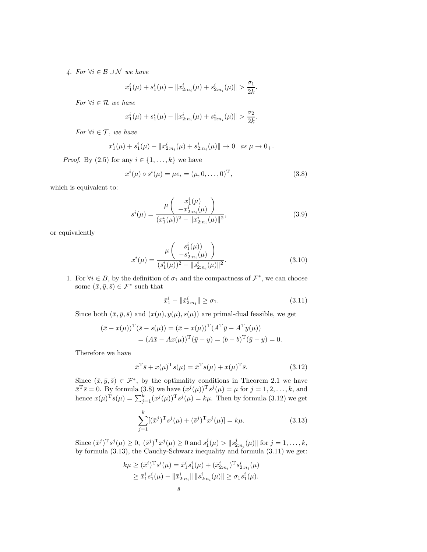*4. For* ∀i ∈ B ∪ N *we have*

$$
x_1^i(\mu) + s_1^i(\mu) - \|x_{2:n_i}^i(\mu) + s_{2:n_i}^i(\mu)\| > \frac{\sigma_1}{2k}.
$$

*For* ∀i ∈ R *we have*

$$
x_1^i(\mu) + s_1^i(\mu) - \|x_{2:n_i}^i(\mu) + s_{2:n_i}^i(\mu)\| > \frac{\sigma_2}{2k}
$$

*For*  $\forall i \in \mathcal{T}$ *, we have* 

$$
x_1^i(\mu) + s_1^i(\mu) - \|x_{2:n_i}^i(\mu) + s_{2:n_i}^i(\mu)\| \to 0 \text{ as } \mu \to 0_+.
$$

*Proof.* By  $(2.5)$  for any  $i \in \{1, \ldots, k\}$  we have

$$
x^{i}(\mu) \circ s^{i}(\mu) = \mu e_{i} = (\mu, 0, \dots, 0)^{\mathrm{T}}, \tag{3.8}
$$

.

which is equivalent to:

$$
s^{i}(\mu) = \frac{\mu \begin{pmatrix} x_{1}^{i}(\mu) \\ -x_{2:n_{i}}^{i}(\mu) \end{pmatrix}}{(x_{1}^{i}(\mu))^{2} - ||x_{2:n_{i}}^{i}(\mu)||^{2}},
$$
\n(3.9)

or equivalently

$$
x^{i}(\mu) = \frac{\mu \begin{pmatrix} s_{1}^{i}(\mu) \\ -s_{2:n_{i}}^{i}(\mu) \end{pmatrix}}{(s_{1}^{i}(\mu))^{2} - \|s_{2:n_{i}}^{i}(\mu)\|^{2}}.
$$
\n(3.10)

1. For  $\forall i \in B$ , by the definition of  $\sigma_1$  and the compactness of  $\mathcal{F}^*$ , we can choose some  $(\bar{x}, \bar{y}, \bar{s}) \in \mathcal{F}^*$  such that

$$
\bar{x}_1^i - \|\bar{x}_{2:n_i}^i\| \ge \sigma_1. \tag{3.11}
$$

Since both  $(\bar{x}, \bar{y}, \bar{s})$  and  $(x(\mu), y(\mu), s(\mu))$  are primal-dual feasible, we get

$$
(\bar{x} - x(\mu))^{\mathrm{T}}(\bar{s} - s(\mu)) = (\bar{x} - x(\mu))^{\mathrm{T}}(A^{\mathrm{T}}\bar{y} - A^{\mathrm{T}}y(\mu))
$$
  
=  $(A\bar{x} - Ax(\mu))^{\mathrm{T}}(\bar{y} - y) = (b - b)^{\mathrm{T}}(\bar{y} - y) = 0.$ 

Therefore we have

$$
\bar{x}^{\mathrm{T}}\bar{s} + x(\mu)^{\mathrm{T}}s(\mu) = \bar{x}^{\mathrm{T}}s(\mu) + x(\mu)^{\mathrm{T}}\bar{s}.
$$
 (3.12)

Since  $(\bar{x}, \bar{y}, \bar{s}) \in \mathcal{F}^*$ , by the optimality conditions in Theorem 2.1 we have  $\bar{x}^T \bar{s} = 0$ . By formula (3.8) we have  $(x^j(\mu))^T s^j(\mu) = \mu$  for  $j = 1, 2, ..., k$ , and hence  $x(\mu)^{T} s(\mu) = \sum_{j=1}^{k} (x^{j}(\mu))^{T} s^{j}(\mu) = k\mu$ . Then by formula (3.12) we get

$$
\sum_{j=1}^{k} [(\bar{x}^{j})^{\mathrm{T}} s^{j}(\mu) + (\bar{s}^{j})^{\mathrm{T}} x^{j}(\mu)] = k\mu.
$$
 (3.13)

Since  $(\bar{x}^j)^T s^j(\mu) \ge 0$ ,  $(\bar{s}^j)^T x^j(\mu) \ge 0$  and  $s_1^j(\mu) > ||s_{2:n_i}^j(\mu)||$  for  $j = 1, ..., k$ , by formula (3.13), the Cauchy-Schwarz inequality and formula (3.11) we get:

$$
k\mu \geq (\bar{x}^i)^{\mathrm{T}} s^i(\mu) = \bar{x}_1^i s_1^i(\mu) + (\bar{x}_{2:n_i}^i)^{\mathrm{T}} s_{2:n_i}^i(\mu)
$$
  
 
$$
\geq \bar{x}_1^i s_1^i(\mu) - ||\bar{x}_{2:n_i}^i|| ||s_{2:n_i}^i(\mu)|| \geq \sigma_1 s_1^i(\mu).
$$
  
8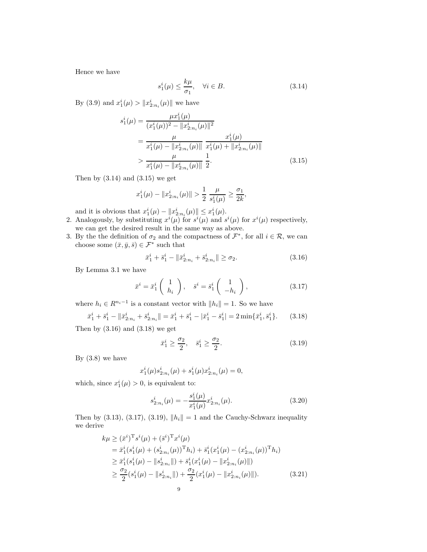Hence we have

$$
s_1^i(\mu) \le \frac{k\mu}{\sigma_1}, \quad \forall i \in B. \tag{3.14}
$$

By (3.9) and  $x_1^i(\mu) > ||x_{2:n_i}^i(\mu)||$  we have

$$
s_1^i(\mu) = \frac{\mu x_1^i(\mu)}{(x_1^i(\mu))^2 - ||x_{2:n_i}^i(\mu)||^2}
$$
  
= 
$$
\frac{\mu}{x_1^i(\mu) - ||x_{2:n_i}^i(\mu)||} \frac{x_1^i(\mu)}{x_1^i(\mu) + ||x_{2:n_i}^i(\mu)||}
$$
  
> 
$$
\frac{\mu}{x_1^i(\mu) - ||x_{2:n_i}^i(\mu)||} \frac{1}{2}.
$$
 (3.15)

Then by  $(3.14)$  and  $(3.15)$  we get

$$
x_1^i(\mu) - \|x_{2:n_i}^i(\mu)\| > \frac{1}{2} \frac{\mu}{s_1^i(\mu)} \ge \frac{\sigma_1}{2k},
$$

and it is obvious that  $x_1^i(\mu) - ||x_{2:n_i}^i(\mu)|| \leq x_1^i(\mu)$ .

- 2. Analogously, by substituting  $x^{i}(\mu)$  for  $s^{i}(\mu)$  and  $s^{i}(\mu)$  for  $x^{i}(\mu)$  respectively, we can get the desired result in the same way as above.
- 3. By the the definition of  $\sigma_2$  and the compactness of  $\mathcal{F}^*$ , for all  $i \in \mathcal{R}$ , we can choose some  $(\bar{x}, \bar{y}, \bar{s}) \in \mathcal{F}^*$  such that

$$
\bar{x}_1^i + \bar{s}_1^i - \|\bar{x}_{2:n_i}^i + \bar{s}_{2:n_i}^i\| \ge \sigma_2. \tag{3.16}
$$

By Lemma 3.1 we have

$$
\bar{x}^i = \bar{x}_1^i \begin{pmatrix} 1 \\ h_i \end{pmatrix}, \quad \bar{s}^i = \bar{s}_1^i \begin{pmatrix} 1 \\ -h_i \end{pmatrix}, \tag{3.17}
$$

where  $h_i \in R^{n_i-1}$  is a constant vector with  $||h_i|| = 1$ . So we have

$$
\bar{x}_1^i + \bar{s}_1^i - \|\bar{x}_{2:n_i}^i + \bar{s}_{2:n_i}^i\| = \bar{x}_1^i + \bar{s}_1^i - |\bar{x}_1^i - \bar{s}_1^i| = 2\min\{\bar{x}_1^i, \bar{s}_1^i\}.
$$
 (3.18)

Then by  $(3.16)$  and  $(3.18)$  we get

$$
\bar{x}_1^i \ge \frac{\sigma_2}{2}, \quad \bar{s}_1^i \ge \frac{\sigma_2}{2}.\tag{3.19}
$$

By  $(3.8)$  we have

$$
x_1^i(\mu)s_{2:n_i}^i(\mu) + s_1^i(\mu)x_{2:n_i}^i(\mu) = 0,
$$

which, since  $x_1^i(\mu) > 0$ , is equivalent to:

$$
s_{2:n_i}^i(\mu) = -\frac{s_1^i(\mu)}{x_1^i(\mu)} x_{2:n_i}^i(\mu). \tag{3.20}
$$

Then by (3.13), (3.17), (3.19),  $||h_i|| = 1$  and the Cauchy-Schwarz inequality we derive

$$
k\mu \geq (\bar{x}^i)^{\mathrm{T}} s^i(\mu) + (\bar{s}^i)^{\mathrm{T}} x^i(\mu)
$$
  
=  $\bar{x}_1^i (s_1^i(\mu) + (s_{2:n_i}^i(\mu))^{\mathrm{T}} h_i) + \bar{s}_1^i (x_1^i(\mu) - (x_{2:n_i}^i(\mu))^{\mathrm{T}} h_i)$   
 $\geq \bar{x}_1^i (s_1^i(\mu) - ||s_{2:n_i}^i||) + \bar{s}_1^i (x_1^i(\mu) - ||x_{2:n_i}^i(\mu)||)$   
 $\geq \frac{\sigma_2}{2} (s_1^i(\mu) - ||s_{2:n_i}^i||) + \frac{\sigma_2}{2} (x_1^i(\mu) - ||x_{2:n_i}^i(\mu)||).$  (3.21)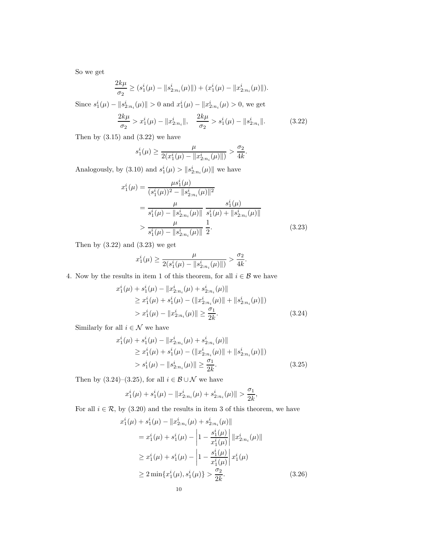So we get

$$
\frac{2k\mu}{\sigma_2} \ge (s_1^i(\mu) - ||s_{2:n_i}^i(\mu)||) + (x_1^i(\mu) - ||x_{2:n_i}^i(\mu)||).
$$

Since  $s_1^i(\mu) - ||s_{2:n_i}^i(\mu)|| > 0$  and  $x_1^i(\mu) - ||x_{2:n_i}^i(\mu) > 0$ , we get

$$
\frac{2k\mu}{\sigma_2} > x_1^i(\mu) - \|x_{2:n_i}^i\|, \quad \frac{2k\mu}{\sigma_2} > s_1^i(\mu) - \|s_{2:n_i}^i\|.\tag{3.22}
$$

Then by  $(3.15)$  and  $(3.22)$  we have

$$
s_1^i(\mu) \ge \frac{\mu}{2(x_1^i(\mu) - \|x_{2:n_i}^i(\mu)\|)} > \frac{\sigma_2}{4k}.
$$

Analogously, by  $(3.10)$  and  $s_1^i(\mu) > ||s_{2:n_i}^i(\mu)||$  we have

$$
x_1^i(\mu) = \frac{\mu s_1^i(\mu)}{(s_1^i(\mu))^2 - ||s_{2:n_i}^i(\mu)||^2}
$$
  
= 
$$
\frac{\mu}{s_1^i(\mu) - ||s_{2:n_i}^i(\mu)||} \frac{s_1^i(\mu)}{s_1^i(\mu) + ||s_{2:n_i}^i(\mu)||}
$$
  
> 
$$
\frac{\mu}{s_1^i(\mu) - ||s_{2:n_i}^i(\mu)||} \frac{1}{2}.
$$
 (3.23)

Then by  $(3.22)$  and  $(3.23)$  we get

$$
x_1^i(\mu)\geq \frac{\mu}{2(s_1^i(\mu)-\|s_{2:n_i}^i(\mu)\|)}>\frac{\sigma_2}{4k}.
$$

4. Now by the results in item 1 of this theorem, for all  $i \in \mathcal{B}$  we have

$$
x_1^i(\mu) + s_1^i(\mu) - \|x_{2:n_i}^i(\mu) + s_{2:n_i}^i(\mu)\|
$$
  
\n
$$
\geq x_1^i(\mu) + s_1^i(\mu) - (\|x_{2:n_i}^i(\mu)\| + \|s_{2:n_i}^i(\mu)\|)
$$
  
\n
$$
> x_1^i(\mu) - \|x_{2:n_i}^i(\mu)\| \geq \frac{\sigma_1}{2k}.
$$
\n(3.24)

Similarly for all  $i\in\mathcal{N}$  we have

$$
x_1^i(\mu) + s_1^i(\mu) - \|x_{2:n_i}^i(\mu) + s_{2:n_i}^i(\mu)\|
$$
  
\n
$$
\geq x_1^i(\mu) + s_1^i(\mu) - (\|x_{2:n_i}^i(\mu)\| + \|s_{2:n_i}^i(\mu)\|)
$$
  
\n
$$
> s_1^i(\mu) - \|s_{2:n_i}^i(\mu)\| \geq \frac{\sigma_1}{2k}.
$$
\n(3.25)

Then by  $(3.24)$ – $(3.25)$ , for all  $i \in \mathcal{B} \cup \mathcal{N}$  we have

$$
x_1^i(\mu) + s_1^i(\mu) - \|x_{2:n_i}^i(\mu) + s_{2:n_i}^i(\mu)\| > \frac{\sigma_1}{2k},
$$

For all  $i \in \mathcal{R}$ , by (3.20) and the results in item 3 of this theorem, we have

$$
x_1^i(\mu) + s_1^i(\mu) - \|x_{2:n_i}^i(\mu) + s_{2:n_i}^i(\mu)\|
$$
  
\n
$$
= x_1^i(\mu) + s_1^i(\mu) - \left|1 - \frac{s_1^i(\mu)}{x_1^i(\mu)}\right| \|x_{2:n_i}^i(\mu)\|
$$
  
\n
$$
\geq x_1^i(\mu) + s_1^i(\mu) - \left|1 - \frac{s_1^i(\mu)}{x_1^i(\mu)}\right| x_1^i(\mu)
$$
  
\n
$$
\geq 2 \min\{x_1^i(\mu), s_1^i(\mu)\} > \frac{\sigma_2}{2k}.
$$
 (3.26)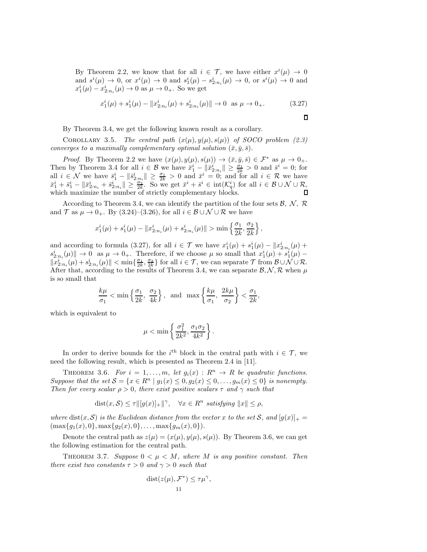By Theorem 2.2, we know that for all  $i \in \mathcal{T}$ , we have either  $x^{i}(\mu) \to 0$ and  $s^i(\mu) \to 0$ , or  $x^i(\mu) \to 0$  and  $s^i_1(\mu) - s^i_{2:n_i}(\mu) \to 0$ , or  $s^i(\mu) \to 0$  and  $x_1^i(\mu) - x_{2:n_i}^i(\mu) \to 0$  as  $\mu \to 0_+$ . So we get

$$
x_1^i(\mu) + s_1^i(\mu) - \|x_{2:n_i}^i(\mu) + s_{2:n_i}^i(\mu)\| \to 0 \text{ as } \mu \to 0_+.
$$
 (3.27)

,

By Theorem 3.4, we get the following known result as a corollary.

COROLLARY 3.5. *The central path*  $(x(\mu), y(\mu), s(\mu))$  *of SOCO problem (2.3) converges to a maximally complementary optimal solution*  $(\bar{x}, \bar{y}, \bar{s})$ *.* 

*Proof.* By Theorem 2.2 we have  $(x(\mu), y(\mu), s(\mu)) \rightarrow (\bar{x}, \bar{y}, \bar{s}) \in \mathcal{F}^*$  as  $\mu \rightarrow 0_+$ . Then by Theorem 3.4 for all  $i \in \mathcal{B}$  we have  $\bar{x}_1^i - ||\bar{x}_{2:n_i}^i|| \geq \frac{\sigma_1}{2k} > 0$  and  $\bar{s}^i = 0$ ; for all  $i \in \mathcal{N}$  we have  $\bar{s}_1^i - \|\bar{s}_{2:n_i}^i\| \geq \frac{\sigma_1}{2k} > 0$  and  $\bar{x}^i = 0$ ; and for all  $i \in \mathcal{R}$  we have  $\|\bar{x}_1^i + \bar{s}_1^i - \|\bar{x}_{2:n_i}^i + \bar{s}_{2:n_i}^i\| \ge \frac{\sigma_2}{2k}$ . So we get  $\bar{x}^i + \bar{s}^i \in \text{int}(\mathcal{K}_q^i)$  for all  $i \in \mathcal{B} \cup \mathcal{N} \cup \mathcal{R}$ , which maximize the number of strictly complementary blocks.

According to Theorem 3.4, we can identify the partition of the four sets  $\mathcal{B}, \mathcal{N}, \mathcal{R}$ and  $\mathcal T$  as  $\mu \to 0_+$ . By (3.24)–(3.26), for all  $i \in \mathcal B \cup \mathcal N \cup \mathcal R$  we have

$$
x_1^i(\mu) + s_1^i(\mu) - \|x_{2:n_i}^i(\mu) + s_{2:n_i}^i(\mu)\| > \min\left\{\frac{\sigma_1}{2k}, \frac{\sigma_2}{2k}\right\}
$$

and according to formula (3.27), for all  $i \in \mathcal{T}$  we have  $x_1^i(\mu) + s_1^i(\mu) - ||x_{2:n_i}^i(\mu) +$  $s_{2:n_i}^i(\mu)$   $\to 0$  as  $\mu \to 0_+$ . Therefore, if we choose  $\mu$  so small that  $x_1^i(\mu) + s_1^i(\mu)$  - $||x_{2:n_i}^i(\mu)|| < \min\{\frac{\sigma_1}{2k},\frac{\sigma_2}{2k}\}\$ for all  $i \in \mathcal{T}$ , we can separate  $\mathcal{T}$  from  $\mathcal{B} \cup \mathcal{N} \cup \mathcal{R}$ . After that, according to the results of Theorem 3.4, we can separate  $\mathcal{B}, \mathcal{N}, \mathcal{R}$  when  $\mu$ is so small that

$$
\frac{k\mu}{\sigma_1} < \min\left\{\frac{\sigma_1}{2k}, \frac{\sigma_2}{4k}\right\}, \text{ and } \max\left\{\frac{k\mu}{\sigma_1}, \frac{2k\mu}{\sigma_2}\right\} < \frac{\sigma_1}{2k},
$$

which is equivalent to

$$
\mu < \min \left\{ \frac{\sigma_1^2}{2k^2}, \frac{\sigma_1 \sigma_2}{4k^2} \right\}
$$

.

In order to derive bounds for the  $i^{\text{th}}$  block in the central path with  $i \in \mathcal{T}$ , we need the following result, which is presented as Theorem 2.4 in [11].

THEOREM 3.6. *For*  $i = 1, ..., m$ , *let*  $g_i(x) : R^n \to R$  *be quadratic functions. Suppose that the set*  $S = \{x \in \mathbb{R}^n \mid g_1(x) \leq 0, g_2(x) \leq 0, \ldots, g_m(x) \leq 0\}$  *is nonempty. Then for every scalar*  $\rho > 0$ *, there exist positive scalars*  $\tau$  *and*  $\gamma$  *such that* 

$$
dist(x, S) \le \tau ||[g(x)]_+||^{\gamma}, \quad \forall x \in R^n \; satisfying \; ||x|| \le \rho,
$$

*where*  $dist(x, \mathcal{S})$  *is the Euclidean distance from the vector* x to the set  $\mathcal{S}$ *, and*  $[g(x)]_+$  =  $(\max\{g_1(x), 0\}, \max\{g_2(x), 0\}, \ldots, \max\{g_m(x), 0\}).$ 

Denote the central path as  $z(\mu) = (x(\mu), y(\mu), s(\mu))$ . By Theorem 3.6, we can get the following estimation for the central path.

THEOREM 3.7. *Suppose*  $0 < \mu < M$ , where M is any positive constant. Then *there exist two constants*  $\tau > 0$  *and*  $\gamma > 0$  *such that* 

$$
dist(z(\mu), \mathcal{F}^*) \leq \tau \mu^{\gamma},
$$
  
11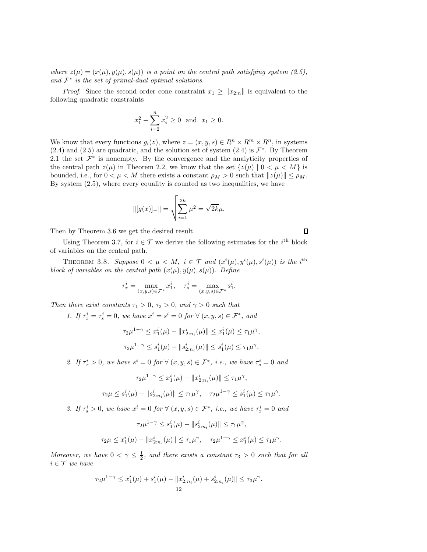*where*  $z(\mu) = (x(\mu), y(\mu), s(\mu))$  *is a point on the central path satisfying system (2.5),*  $and F<sup>*</sup>$  *is the set of primal-dual optimal solutions.* 

*Proof.* Since the second order cone constraint  $x_1 \geq ||x_{2:n}||$  is equivalent to the following quadratic constraints

$$
x_1^2 - \sum_{i=2}^n x_i^2 \ge 0
$$
 and  $x_1 \ge 0$ .

We know that every functions  $g_i(z)$ , where  $z = (x, y, s) \in R^n \times R^m \times R^n$ , in systems (2.4) and (2.5) are quadratic, and the solution set of system (2.4) is  $\mathcal{F}^*$ . By Theorem 2.1 the set  $\mathcal{F}^*$  is nonempty. By the convergence and the analyticity properties of the central path  $z(\mu)$  in Theorem 2.2, we know that the set  $\{z(\mu) | 0 < \mu < M\}$  is bounded, i.e., for  $0 < \mu < M$  there exists a constant  $\rho_M > 0$  such that  $||z(\mu)|| \le \rho_M$ . By system (2.5), where every equality is counted as two inequalities, we have

$$
\| [g(x)]_+\| = \sqrt{\sum_{i=1}^{2k} \mu^2} = \sqrt{2k}\mu.
$$

Then by Theorem 3.6 we get the desired result.

Using Theorem 3.7, for  $i \in \mathcal{T}$  we derive the following estimates for the  $i^{\text{th}}$  block of variables on the central path.

THEOREM 3.8. Suppose  $0 < \mu < M$ ,  $i \in \mathcal{T}$  and  $(x^{i}(\mu), y^{i}(\mu), s^{i}(\mu))$  is the i<sup>th</sup> *block of variables on the central path*  $(x(\mu), y(\mu), s(\mu))$ *. Define* 

$$
\tau_x^i = \max_{(x,y,s)\in \mathcal{F}^*} x_1^i, \quad \tau_s^i = \max_{(x,y,s)\in \mathcal{F}^*} s_1^i.
$$

*Then there exist constants*  $\tau_1 > 0$ ,  $\tau_2 > 0$ , and  $\gamma > 0$  *such that* 

*1.* If  $\tau_x^i = \tau_s^i = 0$ , we have  $x^i = s^i = 0$  for  $\forall (x, y, s) \in \mathcal{F}^*$ , and

$$
\tau_2 \mu^{1-\gamma} \leq x_1^i(\mu) - \|x_{2:n_i}^i(\mu)\| \leq x_1^i(\mu) \leq \tau_1 \mu^{\gamma},
$$
  

$$
\tau_2 \mu^{1-\gamma} \leq s_1^i(\mu) - \|s_{2:n_i}^i(\mu)\| \leq s_1^i(\mu) \leq \tau_1 \mu^{\gamma}.
$$

2. If  $\tau_x^i > 0$ , we have  $s^i = 0$  for  $\forall (x, y, s) \in \mathcal{F}^*$ , *i.e.*, we have  $\tau_s^i = 0$  and

$$
\tau_2\mu^{1-\gamma} \leq x_1^i(\mu) - \|x_{2:n_i}^i(\mu)\| \leq \tau_1\mu^{\gamma},
$$

$$
\tau_2\mu \leq s_1^i(\mu) - \|s_{2:n_i}^i(\mu)\| \leq \tau_1\mu^\gamma, \quad \tau_2\mu^{1-\gamma} \leq s_1^i(\mu) \leq \tau_1\mu^\gamma.
$$

3. If  $\tau_s^i > 0$ , we have  $x^i = 0$  for  $\forall (x, y, s) \in \mathcal{F}^*$ , *i.e.*, we have  $\tau_x^i = 0$  and

$$
\tau_2 \mu^{1-\gamma} \le s_1^i(\mu) - \|s_{2:n_i}^i(\mu)\| \le \tau_1 \mu^\gamma,
$$
  

$$
\tau_2 \mu \le x_1^i(\mu) - \|x_{2:n_i}^i(\mu)\| \le \tau_1 \mu^\gamma, \quad \tau_2 \mu^{1-\gamma} \le x_1^i(\mu) \le \tau_1 \mu^\gamma.
$$

*Moreover, we have*  $0 < \gamma \leq \frac{1}{2}$ *, and there exists a constant*  $\tau_3 > 0$  *such that for all*  $i \in \mathcal{T}$  *we have* 

$$
\tau_2\mu^{1-\gamma} \leq x_1^i(\mu) + s_1^i(\mu) - \|x_{2:n_i}^i(\mu) + s_{2:n_i}^i(\mu)\| \leq \tau_3\mu^{\gamma}.
$$
  
12

 $\Box$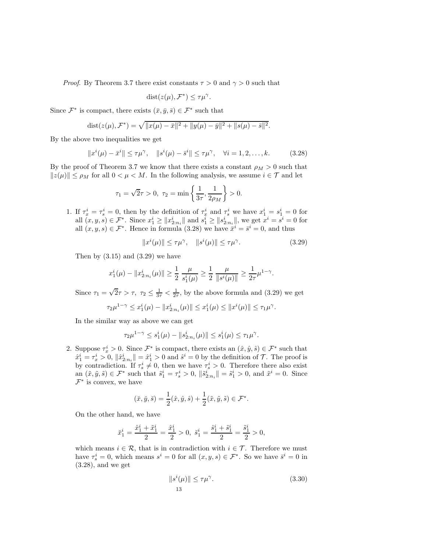*Proof.* By Theorem 3.7 there exist constants  $\tau > 0$  and  $\gamma > 0$  such that

$$
dist(z(\mu), \mathcal{F}^*) \leq \tau \mu^{\gamma}.
$$

Since  $\mathcal{F}^*$  is compact, there exists  $(\bar{x}, \bar{y}, \bar{s}) \in \mathcal{F}^*$  such that

dist
$$
(z(\mu), \mathcal{F}^*) = \sqrt{\|x(\mu) - \bar{x}\|^2 + \|y(\mu) - \bar{y}\|^2 + \|s(\mu) - \bar{s}\|^2}.
$$

By the above two inequalities we get

$$
\|x^{i}(\mu) - \bar{x}^{i}\| \le \tau \mu^{\gamma}, \quad \|s^{i}(\mu) - \bar{s}^{i}\| \le \tau \mu^{\gamma}, \quad \forall i = 1, 2, \dots, k. \tag{3.28}
$$

By the proof of Theorem 3.7 we know that there exists a constant  $\rho_M > 0$  such that  $||z(\mu)|| \le \rho_M$  for all  $0 < \mu < M$ . In the following analysis, we assume  $i \in \mathcal{T}$  and let

$$
\tau_1 = \sqrt{2}\tau > 0, \ \tau_2 = \min\left\{\frac{1}{3\tau}, \frac{1}{2\rho_M}\right\} > 0.
$$

1. If  $\tau_x^i = \tau_s^i = 0$ , then by the definition of  $\tau_x^i$  and  $\tau_s^i$  we have  $x_1^i = s_1^i = 0$  for all  $(x, y, s) \in \mathcal{F}^*$ . Since  $x_1^i \ge ||x_{2:n_i}^i||$  and  $s_1^i \ge ||s_{2:n_i}^i||$ , we get  $x^i = s^i = 0$  for all  $(x, y, s) \in \mathcal{F}^*$ . Hence in formula (3.28) we have  $\bar{x}^i = \bar{s}^i = 0$ , and thus

$$
||x^{i}(\mu)|| \le \tau \mu^{\gamma}, \quad ||s^{i}(\mu)|| \le \tau \mu^{\gamma}.
$$
 (3.29)

Then by  $(3.15)$  and  $(3.29)$  we have

$$
x_1^i(\mu) - \|x_{2:n_i}^i(\mu)\| \ge \frac{1}{2} \frac{\mu}{s_1^i(\mu)} \ge \frac{1}{2} \frac{\mu}{\|s^i(\mu)\|} \ge \frac{1}{2\tau} \mu^{1-\gamma}.
$$

Since  $\tau_1 = \sqrt{2}\tau > \tau$ ,  $\tau_2 \leq \frac{1}{3\tau} < \frac{1}{2\tau}$ , by the above formula and (3.29) we get

$$
\tau_2\mu^{1-\gamma} \leq x_1^i(\mu) - \|x_{2:n_i}^i(\mu)\| \leq x_1^i(\mu) \leq \|x^i(\mu)\| \leq \tau_1\mu^{\gamma}.
$$

In the similar way as above we can get

$$
\tau_2\mu^{1-\gamma} \leq s_1^i(\mu) - \|s_{2:n_i}^i(\mu)\| \leq s_1^i(\mu) \leq \tau_1\mu^{\gamma}.
$$

2. Suppose  $\tau_x^i > 0$ . Since  $\mathcal{F}^*$  is compact, there exists an  $(\hat{x}, \hat{y}, \hat{s}) \in \mathcal{F}^*$  such that  $\hat{x}_1^i = \tau_x^i > 0$ ,  $\|\hat{x}_{2:n_i}^i\| = \hat{x}_1^i > 0$  and  $\hat{s}^i = 0$  by the definition of  $\mathcal{T}$ . The proof is by contradiction. If  $\tau_s^i \neq 0$ , then we have  $\tau_s^i > 0$ . Therefore there also exist an  $(\tilde{x}, \tilde{y}, \tilde{s}) \in \mathcal{F}^*$  such that  $\tilde{s}_1^i = \tau_s^i > 0$ ,  $\|\tilde{s}_{2:n_i}^i\| = \tilde{s}_1^i > 0$ , and  $\tilde{x}^i = 0$ . Since  $\mathcal{F}^*$  is convex, we have

$$
(\tilde{x}, \tilde{y}, \tilde{s}) = \frac{1}{2}(\hat{x}, \hat{y}, \hat{s}) + \frac{1}{2}(\tilde{x}, \tilde{y}, \tilde{s}) \in \mathcal{F}^*.
$$

On the other hand, we have

$$
\check{x}_1^i=\frac{\hat{x}_1^i+\tilde{x}_1^i}{2}=\frac{\hat{x}_1^i}{2}>0, \ \check{s}_1^i=\frac{\hat{s}_1^i+\tilde{s}_1^i}{2}=\frac{\tilde{s}_1^i}{2}>0,
$$

which means  $i \in \mathcal{R}$ , that is in contradiction with  $i \in \mathcal{T}$ . Therefore we must have  $\tau_s^i = 0$ , which means  $s^i = 0$  for all  $(x, y, s) \in \mathcal{F}^*$ . So we have  $\bar{s}^i = 0$  in  $(3.28)$ , and we get

$$
||s^{i}(\mu)|| \leq \tau \mu^{\gamma}.
$$
\n(3.30)\n  
\n13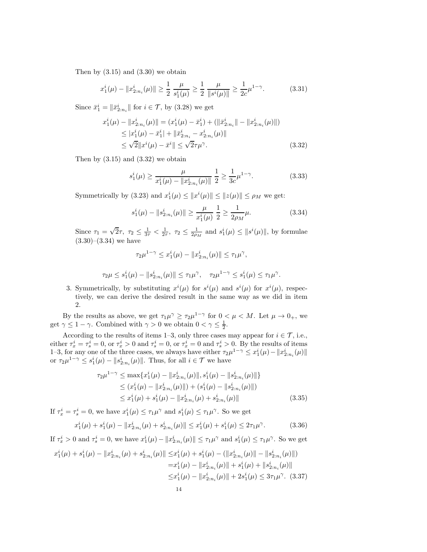Then by  $(3.15)$  and  $(3.30)$  we obtain

$$
x_1^i(\mu) - \|x_{2:n_i}^i(\mu)\| \ge \frac{1}{2} \frac{\mu}{s_1^i(\mu)} \ge \frac{1}{2} \frac{\mu}{\|s^i(\mu)\|} \ge \frac{1}{2c} \mu^{1-\gamma}.
$$
 (3.31)

Since  $\bar{x}_1^i = \|\bar{x}_{2:n_i}^i\|$  for  $i \in \mathcal{T}$ , by  $(3.28)$  we get

$$
x_1^i(\mu) - \|x_{2:n_i}^i(\mu)\| = (x_1^i(\mu) - \bar{x}_1^i) + (\|\bar{x}_{2:n_i}^i\| - \|x_{2:n_i}^i(\mu)\|)
$$
  
\n
$$
\leq |x_1^i(\mu) - \bar{x}_1^i| + \|\bar{x}_{2:n_i}^i - x_{2:n_i}^i(\mu)\|
$$
  
\n
$$
\leq \sqrt{2} \|x^i(\mu) - \bar{x}^i\| \leq \sqrt{2}\tau\mu^\gamma.
$$
 (3.32)

Then by  $(3.15)$  and  $(3.32)$  we obtain

$$
s_1^i(\mu) \ge \frac{\mu}{x_1^i(\mu) - \|x_{2:n_i}^i(\mu)\|} \frac{1}{2} \ge \frac{1}{3c} \mu^{1-\gamma}.
$$
 (3.33)

Symmetrically by (3.23) and  $x_1^i(\mu) \leq ||x^i(\mu)|| \leq ||z(\mu)|| \leq \rho_M$  we get:

$$
s_1^i(\mu) - \|s_{2:n_i}^i(\mu)\| \ge \frac{\mu}{x_1^i(\mu)} \frac{1}{2} \ge \frac{1}{2\rho_M} \mu.
$$
 (3.34)

Since  $\tau_1 = \sqrt{2}\tau$ ,  $\tau_2 \le \frac{1}{3\tau} < \frac{1}{2\tau}$ ,  $\tau_2 \le \frac{1}{2\rho_M}$  and  $s_1^i(\mu) \le ||s^i(\mu)||$ , by formulae  $(3.30)–(3.34)$  we have

$$
\tau_2\mu^{1-\gamma} \leq x_1^i(\mu) - \|x_{2:n_i}^i(\mu)\| \leq \tau_1\mu^{\gamma},
$$

$$
\tau_2 \mu \leq s_1^i(\mu) - \|s_{2:n_i}^i(\mu)\| \leq \tau_1 \mu^\gamma, \quad \tau_2 \mu^{1-\gamma} \leq s_1^i(\mu) \leq \tau_1 \mu^\gamma.
$$

3. Symmetrically, by substituting  $x^{i}(\mu)$  for  $s^{i}(\mu)$  and  $s^{i}(\mu)$  for  $x^{i}(\mu)$ , respectively, we can derive the desired result in the same way as we did in item 2.

By the results as above, we get  $\tau_1 \mu^\gamma \geq \tau_2 \mu^{1-\gamma}$  for  $0 < \mu < M$ . Let  $\mu \to 0_+$ , we get  $\gamma \leq 1 - \gamma$ . Combined with  $\gamma > 0$  we obtain  $0 < \gamma \leq \frac{1}{2}$ .

According to the results of items 1–3, only three cases may appear for  $i \in \mathcal{T}$ , i.e., either  $\tau_x^i = \tau_s^i = 0$ , or  $\tau_x^i > 0$  and  $\tau_s^i = 0$ , or  $\tau_x^i = 0$  and  $\tau_s^i > 0$ . By the results of items 1–3, for any one of the three cases, we always have either  $\tau_2 \mu^{1-\gamma} \leq x_1^i(\mu) - \|x_{2:n_i}^i(\mu)\|$ or  $\tau_2\mu^{1-\gamma} \leq s_1^i(\mu) - ||s_{2:n_i}^i(\mu)||$ . Thus, for all  $i \in \mathcal{T}$  we have

$$
\tau_2 \mu^{1-\gamma} \leq \max \{ x_1^i(\mu) - \|x_{2:n_i}^i(\mu)\|, s_1^i(\mu) - \|s_{2:n_i}^i(\mu)\| \}
$$
  
\n
$$
\leq (x_1^i(\mu) - \|x_{2:n_i}^i(\mu)\|) + (s_1^i(\mu) - \|s_{2:n_i}^i(\mu)\|)
$$
  
\n
$$
\leq x_1^i(\mu) + s_1^i(\mu) - \|x_{2:n_i}^i(\mu) + s_{2:n_i}^i(\mu)\|
$$
\n(3.35)

If  $\tau_x^i = \tau_s^i = 0$ , we have  $x_1^i(\mu) \leq \tau_1 \mu^\gamma$  and  $s_1^i(\mu) \leq \tau_1 \mu^\gamma$ . So we get

$$
x_1^i(\mu) + s_1^i(\mu) - \|x_{2:n_i}^i(\mu) + s_{2:n_i}^i(\mu)\| \le x_1^i(\mu) + s_1^i(\mu) \le 2\tau_1\mu^\gamma. \tag{3.36}
$$

If  $\tau_x^i > 0$  and  $\tau_s^i = 0$ , we have  $x_1^i(\mu) - ||x_{2:n_i}^i(\mu)|| \leq \tau_1 \mu^\gamma$  and  $s_1^i(\mu) \leq \tau_1 \mu^\gamma$ . So we get

$$
x_1^i(\mu) + s_1^i(\mu) - \|x_{2:n_i}^i(\mu) + s_{2:n_i}^i(\mu)\| \le x_1^i(\mu) + s_1^i(\mu) - (\|x_{2:n_i}^i(\mu)\| - \|s_{2:n_i}^i(\mu)\|)
$$
  

$$
= x_1^i(\mu) - \|x_{2:n_i}^i(\mu)\| + s_1^i(\mu) + \|s_{2:n_i}^i(\mu)\|
$$
  

$$
\le x_1^i(\mu) - \|x_{2:n_i}^i(\mu)\| + 2s_1^i(\mu) \le 3\tau_1\mu^\gamma. \quad (3.37)
$$
  
14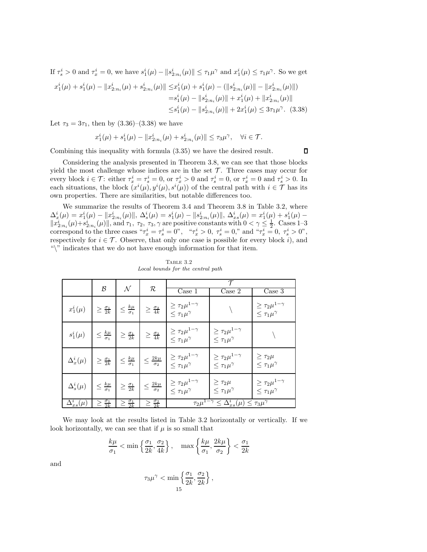If  $\tau_s^i > 0$  and  $\tau_x^i = 0$ , we have  $s_1^i(\mu) - ||s_{2:n_i}^i(\mu)|| \leq \tau_1 \mu^\gamma$  and  $x_1^i(\mu) \leq \tau_1 \mu^\gamma$ . So we get

$$
x_1^i(\mu) + s_1^i(\mu) - \|x_{2:n_i}^i(\mu) + s_{2:n_i}^i(\mu)\| \le x_1^i(\mu) + s_1^i(\mu) - (\|s_{2:n_i}^i(\mu)\| - \|x_{2:n_i}^i(\mu)\|)
$$
  

$$
= s_1^i(\mu) - \|s_{2:n_i}^i(\mu)\| + x_1^i(\mu) + \|x_{2:n_i}^i(\mu)\|
$$
  

$$
\le s_1^i(\mu) - \|s_{2:n_i}^i(\mu)\| + 2x_1^i(\mu) \le 3\tau_1\mu^{\gamma}.
$$
 (3.38)

Let  $\tau_3 = 3\tau_1$ , then by  $(3.36)$ – $(3.38)$  we have

$$
x_1^i(\mu) + s_1^i(\mu) - \|x_{2:n_i}^i(\mu) + s_{2:n_i}^i(\mu)\| \le \tau_3 \mu^\gamma, \quad \forall i \in \mathcal{T}.
$$

Combining this inequality with formula (3.35) we have the desired result.

Considering the analysis presented in Theorem 3.8, we can see that those blocks yield the most challenge whose indices are in the set  $\mathcal T$ . Three cases may occur for every block  $i \in \mathcal{T}$ : either  $\tau_x^i = \tau_s^i = 0$ , or  $\tau_x^i > 0$  and  $\tau_s^i = 0$ , or  $\tau_x^i = 0$  and  $\tau_s^i > 0$ . In each situations, the block  $(x^{i}(\mu), y^{i}(\mu), s^{i}(\mu))$  of the central path with  $i \in \mathcal{T}$  has its own properties. There are similarities, but notable differences too.

We summarize the results of Theorem 3.4 and Theorem 3.8 in Table 3.2, where  $\Delta_x^i(\mu) = x_1^i(\mu) - ||x_{2:n_i}^i(\mu)||$ ,  $\Delta_s^i(\mu) = s_1^i(\mu) - ||s_{2:n_i}^i(\mu)||$ ,  $\Delta_{xs}^i(\mu) = x_1^i(\mu) + s_1^i(\mu) ||x_{2:n_i}^i(\mu)+s_{2:n_i}^i(\mu)||$ , and  $\tau_1$ ,  $\tau_2$ ,  $\tau_3$ ,  $\gamma$  are positive constants with  $0 < \gamma \leq \frac{1}{2}$ . Cases 1-3 correspond to the three cases " $\tau_x^i = \tau_s^i = 0$ ", " $\tau_x^i > 0$ ,  $\tau_s^i = 0$ ," and " $\tau_x^i = 0$ ,  $\tau_s^i > 0$ ", respectively for  $i \in \mathcal{T}$ . Observe, that only one case is possible for every block i), and "\" indicates that we do not have enough information for that item.

|                      |                                 |                                                            |                               | $\tau$                                                                                       |                                                           |                                                           |
|----------------------|---------------------------------|------------------------------------------------------------|-------------------------------|----------------------------------------------------------------------------------------------|-----------------------------------------------------------|-----------------------------------------------------------|
|                      | $\mathcal{B}$                   | $\mathcal N$                                               | $\mathcal R$                  | Case 1                                                                                       | Case 2                                                    | Case 3                                                    |
| $x_1^i(\mu)$         | $\geq \frac{\sigma_1}{2k}$      | $\leq \frac{k\mu}{\sigma_1}$                               | $\geq \frac{\sigma_2}{4k}$    | $\geq \tau_2\mu^{1-\gamma}$<br>$\leq \tau_1 \mu^{\gamma}$                                    |                                                           | $\geq \tau_2\mu^{1-\gamma}$<br>$\leq \tau_1 \mu^{\gamma}$ |
| $s_1^i(\mu)$         | $\leq \frac{k\mu}{\sigma_1}$    | $\geq \frac{\sigma_1}{2k}$                                 | $\geq \frac{\sigma_2}{4k}$    | $\geq \tau_2\mu^{1-\gamma}$<br>$\leq \tau_1 \mu^{\gamma}$                                    | $\geq \tau_2\mu^{1-\gamma}$<br>$\leq \tau_1 \mu^{\gamma}$ |                                                           |
| $\Delta_x^i(\mu)$    | $\geq \frac{\sigma_1}{2k}$      | $\leq \frac{k\mu}{\sigma_1}$ $\leq \frac{2k\mu}{\sigma_2}$ |                               | $\geq \tau_2 \mu^{1-\gamma}$<br>$\leq \tau_1 \mu^{\gamma}$                                   | $\geq \tau_2\mu^{1-\gamma}$<br>$\leq \tau_1 \mu^{\gamma}$ | $\geq \tau_2\mu$<br>$\leq \tau_1 \mu^{\gamma}$            |
| $\Delta^i_s(\mu)$    | $\leq \frac{k\mu}{\sigma_1}$    | $\geq \frac{\sigma_1}{2k}$                                 | $\leq \frac{2k\mu}{\sigma_2}$ | $\geq \tau_2\mu^{1-\gamma}$<br>$\leq \tau_1 \mu^{\gamma}$                                    | $\geq \tau_2\mu$<br>$\leq \tau_1 \mu^{\gamma}$            | $\geq \tau_2\mu^{1-\gamma}$<br>$\leq \tau_1 \mu^{\gamma}$ |
| $\Delta_{xs}^i(\mu)$ | $\frac{\sigma_1}{2k}$<br>$\geq$ | $\geq \frac{\sigma_1}{2k}$                                 | $\geq \frac{\sigma_2}{2k}$    | $\overline{\tau_2\mu^{1-\gamma}} \leq \overline{\Delta}_{xs}^i(\mu) \leq \tau_3\mu^{\gamma}$ |                                                           |                                                           |

Table 3.2 *Local bounds for the central path*

We may look at the results listed in Table 3.2 horizontally or vertically. If we look horizontally, we can see that if  $\mu$  is so small that

$$
\frac{k\mu}{\sigma_1} < \min\left\{\frac{\sigma_1}{2k}, \frac{\sigma_2}{4k}\right\}, \quad \max\left\{\frac{k\mu}{\sigma_1}, \frac{2k\mu}{\sigma_2}\right\} < \frac{\sigma_1}{2k}
$$

and

$$
\tau_3\mu^\gamma < \min\left\{\frac{\sigma_1}{2k}, \frac{\sigma_2}{2k}\right\},\,
$$
15

 $\Box$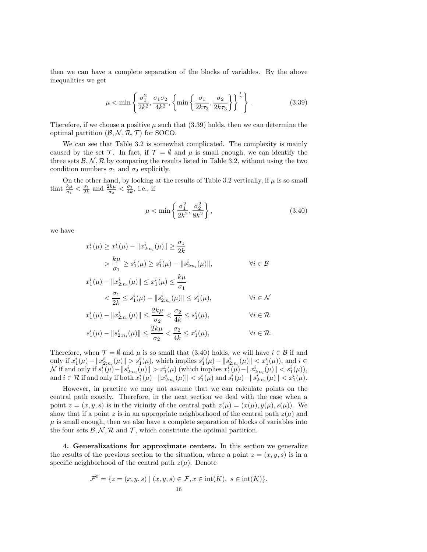then we can have a complete separation of the blocks of variables. By the above inequalities we get

$$
\mu < \min\left\{\frac{\sigma_1^2}{2k^2}, \frac{\sigma_1 \sigma_2}{4k^2}, \left\{\min\left\{\frac{\sigma_1}{2k\tau_3}, \frac{\sigma_2}{2k\tau_3}\right\}\right\}^{\frac{1}{\gamma}}\right\}.\tag{3.39}
$$

Therefore, if we choose a positive  $\mu$  such that (3.39) holds, then we can determine the optimal partition  $(\mathcal{B}, \mathcal{N}, \mathcal{R}, \mathcal{T})$  for SOCO.

We can see that Table 3.2 is somewhat complicated. The complexity is mainly caused by the set T. In fact, if  $\mathcal{T} = \emptyset$  and  $\mu$  is small enough, we can identify the three sets  $\mathcal{B}, \mathcal{N}, \mathcal{R}$  by comparing the results listed in Table 3.2, without using the two condition numbers  $\sigma_1$  and  $\sigma_2$  explicitly.

On the other hand, by looking at the results of Table 3.2 vertically, if  $\mu$  is so small that  $\frac{k\mu}{\sigma_1} < \frac{\sigma_1}{2k}$  and  $\frac{2k\mu}{\sigma_2} < \frac{\sigma_2}{4k}$ , i.e., if

$$
\mu < \min\left\{\frac{\sigma_1^2}{2k^2}, \frac{\sigma_2^2}{8k^2}\right\},\tag{3.40}
$$

we have

$$
x_1^i(\mu) \ge x_1^i(\mu) - \|x_{2:n_i}^i(\mu)\| \ge \frac{\sigma_1}{2k}
$$
  
> 
$$
\frac{k\mu}{\sigma_1} \ge s_1^i(\mu) \ge s_1^i(\mu) - \|s_{2:n_i}^i(\mu)\|,
$$
  $\forall i \in \mathcal{B}$ 

$$
x_1^i(\mu) - \|x_{2:n_i}^i(\mu)\| \le x_1^i(\mu) \le \frac{k\mu}{\sigma_1}
$$
  

$$
< \frac{\sigma_1}{2k} \le s_1^i(\mu) - \|s_{2:n_i}^i(\mu)\| \le s_1^i(\mu), \qquad \forall i \in \mathcal{N}
$$

$$
x_1^i(\mu) - \|x_{2:n_i}^i(\mu)\| \le \frac{2k\mu}{\sigma_2} < \frac{\sigma_2}{4k} \le s_1^i(\mu), \qquad \forall i \in \mathcal{R}
$$

$$
s_1^i(\mu) - \|s_{2:n_i}^i(\mu)\| \le \frac{2k\mu}{\sigma_2} < \frac{\sigma_2}{4k} \le x_1^i(\mu), \qquad \forall i \in \mathcal{R}.
$$

Therefore, when  $\mathcal{T} = \emptyset$  and  $\mu$  is so small that (3.40) holds, we will have  $i \in \mathcal{B}$  if and only if  $x_1^i(\mu) - ||x_{2:n_i}^i(\mu)|| > s_1^i(\mu)$ , which implies  $s_1^i(\mu) - ||s_{2:n_i}^i(\mu)|| < x_1^i(\mu)$ , and  $i \in$ N if and only if  $s_1^i(\mu) - ||s_{2:n_i}^i(\mu)|| > x_1^i(\mu)$  (which implies  $x_1^i(\mu) - ||x_{2:n_i}^i(\mu)|| < s_1^i(\mu)$ ),  $\text{and } i \in \mathcal{R} \text{ if and only if both } x_1^i(\mu) - \|x_{2:n_i}^i(\mu)\| < s_1^i(\mu) \text{ and } s_1^i(\mu) - \|s_{2:n_i}^i(\mu)\| < x_1^i(\mu).$ 

However, in practice we may not assume that we can calculate points on the central path exactly. Therefore, in the next section we deal with the case when a point  $z = (x, y, s)$  is in the vicinity of the central path  $z(\mu) = (x(\mu), y(\mu), s(\mu))$ . We show that if a point z is in an appropriate neighborhood of the central path  $z(\mu)$  and  $\mu$  is small enough, then we also have a complete separation of blocks of variables into the four sets  $\mathcal{B}, \mathcal{N}, \mathcal{R}$  and  $\mathcal{T}$ , which constitute the optimal partition.

4. Generalizations for approximate centers. In this section we generalize the results of the previous section to the situation, where a point  $z = (x, y, s)$  is in a specific neighborhood of the central path  $z(\mu)$ . Denote

$$
\mathcal{F}^0 = \{ z = (x, y, s) \mid (x, y, s) \in \mathcal{F}, x \in \text{int}(K), s \in \text{int}(K) \}.
$$
  
16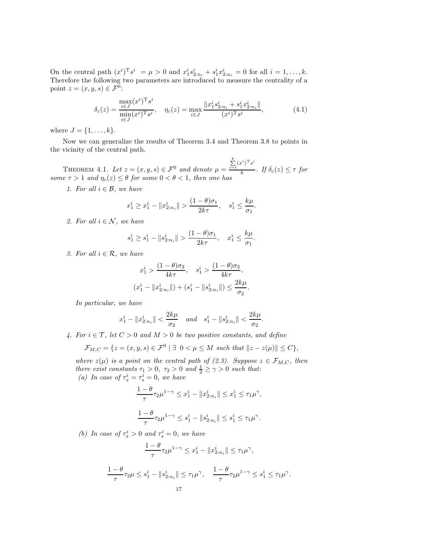On the central path  $(x^i)^T s^i = \mu > 0$  and  $x_1^i s_{2:n_i}^i + s_1^i x_{2:n_i}^i = 0$  for all  $i = 1, ..., k$ . Therefore the following two parameters are introduced to measure the centrality of a point  $z = (x, y, s) \in \mathcal{F}^0$ :

$$
\delta_c(z) = \frac{\max_{i \in J} (x^i)^{\mathrm{T}} s^i}{\min_{i \in J} (x^i)^{\mathrm{T}} s^i}, \quad \eta_c(z) = \max_{i \in J} \frac{\|x_1^i s_{2:n_i}^i + s_1^i x_{2:n_i}^i\|}{(x^i)^{\mathrm{T}} s^i},\tag{4.1}
$$

where  $J = \{1, ..., k\}.$ 

Now we can generalize the results of Theorem 3.4 and Theorem 3.8 to points in the vicinity of the central path.

THEOREM 4.1. Let  $z = (x, y, s) \in \mathcal{F}^0$  and denote  $\mu =$  $\boldsymbol{k}$  $\sum_{i=1}^{\kappa} (x^i)^{\mathrm{T}} s^i$  $\frac{1}{k}$  *. If*  $\delta_c(z) \leq \tau$  *for some*  $\tau > 1$  *and*  $\eta_c(z) \leq \theta$  *for some*  $0 < \theta < 1$ *, then one has* 

*1. For all*  $i \in \mathcal{B}$ *, we have* 

$$
x_1^i \ge x_1^i - \|x_{2:n_i}^i\| > \frac{(1-\theta)\sigma_1}{2k\tau}, \quad s_1^i \le \frac{k\mu}{\sigma_1}
$$

.

*2. For all*  $i \in \mathcal{N}$ *, we have* 

$$
s_1^i\geq s_1^i-\|s_{2:n_i}^i\|>\frac{(1-\theta)\sigma_1}{2k\tau},\quad x_1^i\leq\frac{k\mu}{\sigma_1}.
$$

*3. For all*  $i \in \mathcal{R}$ *, we have* 

$$
x_1^i > \frac{(1-\theta)\sigma_2}{4k\tau}, \quad s_1^i > \frac{(1-\theta)\sigma_2}{4k\tau},
$$

$$
(x_1^i - ||x_{2:n_i}^i||) + (s_1^i - ||s_{2:n_i}^i||) \le \frac{2k\mu}{\sigma_2}.
$$

*In particular, we have*

$$
x_1^i - ||x_{2:n_i}^i|| < \frac{2k\mu}{\sigma_2}
$$
 and  $s_1^i - ||s_{2:n_i}^i|| < \frac{2k\mu}{\sigma_2}$ .

*4. For*  $i \in \mathcal{T}$ *, let*  $C > 0$  *and*  $M > 0$  *be two positive constants, and define* 

$$
\mathcal{F}_{M,C} = \{ z = (x, y, s) \in \mathcal{F}^0 \mid \exists \ 0 < \mu \le M \ \text{such that} \ \| z - z(\mu) \| \le C \},
$$

*where*  $z(\mu)$  *is a point on the central path of (2.3). Suppose*  $z \in \mathcal{F}_{M,C}$ *, then there exist constants*  $\tau_1 > 0$ ,  $\tau_2 > 0$  *and*  $\frac{1}{2} \ge \gamma > 0$  *such that:* (a) In case of  $\tau_x^i = \tau_s^i = 0$ , we have

$$
\label{eq:tau} \begin{split} &\frac{1-\theta}{\tau}\tau_2\mu^{1-\gamma}\leq x_1^i-\|x_{2:n_i}^i\|\leq x_1^i\leq \tau_1\mu^\gamma,\\ &\frac{1-\theta}{\tau}\tau_2\mu^{1-\gamma}\leq s_1^i-\|s_{2:n_i}^i\|\leq s_1^i\leq \tau_1\mu^\gamma. \end{split}
$$

(b) In case of  $\tau_x^i > 0$  and  $\tau_s^i = 0$ , we have

$$
\frac{1-\theta}{\tau}\tau_2\mu^{1-\gamma} \leq x_1^i - \|x_{2:n_i}^i\| \leq \tau_1\mu^{\gamma},
$$

$$
\frac{1-\theta}{\tau}\tau_2\mu \le s_1^i - \|s_{2:n_i}^i\| \le \tau_1\mu^\gamma, \quad \frac{1-\theta}{\tau}\tau_2\mu^{1-\gamma} \le s_1^i \le \tau_1\mu^\gamma.
$$
  
17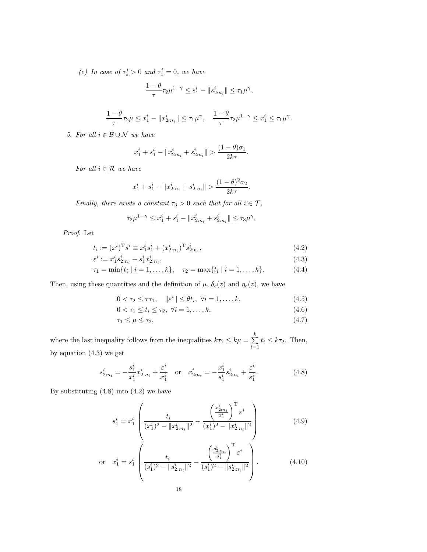(c) In case of  $\tau_s^i > 0$  and  $\tau_x^i = 0$ , we have

$$
\frac{1-\theta}{\tau}\tau_2\mu^{1-\gamma}\leq s_1^i-\|s_{2:n_i}^i\|\leq \tau_1\mu^\gamma,
$$

$$
\frac{1-\theta}{\tau}\tau_2\mu\leq x_1^i-\|x_{2:n_i}^i\|\leq \tau_1\mu^\gamma,\quad \frac{1-\theta}{\tau}\tau_2\mu^{1-\gamma}\leq x_1^i\leq \tau_1\mu^\gamma.
$$

*5. For all* i ∈ B ∪ N *we have*

$$
x_1^i + s_1^i - \|x_{2:n_i}^i + s_{2:n_i}^i\| > \frac{(1-\theta)\sigma_1}{2k\tau}.
$$

*For all* i ∈ R *we have*

$$
x_1^i+s_1^i-\|x_{2:n_i}^i+s_{2:n_i}^i\|>\frac{(1-\theta)^2\sigma_2}{2k\tau}.
$$

*Finally, there exists a constant*  $\tau_3 > 0$  *such that for all*  $i \in \mathcal{T}$ *,* 

$$
\tau_2 \mu^{1-\gamma} \leq x_1^i + s_1^i - \|x_{2:n_i}^i + s_{2:n_i}^i\| \leq \tau_3 \mu^{\gamma}.
$$

*Proof*. Let

$$
t_i := (x^i)^{\mathrm{T}} s^i \equiv x_1^i s_1^i + (x_{2:n_i}^i)^{\mathrm{T}} s_{2:n_i}^i,
$$
\n(4.2)

$$
\varepsilon^{i} := x_{1}^{i} s_{2:n_{i}}^{i} + s_{1}^{i} x_{2:n_{i}}^{i},\tag{4.3}
$$

$$
\tau_1 = \min\{t_i \mid i = 1, \dots, k\}, \quad \tau_2 = \max\{t_i \mid i = 1, \dots, k\}.
$$
 (4.4)

Then, using these quantities and the definition of  $\mu$ ,  $\delta_c(z)$  and  $\eta_c(z)$ , we have

$$
0 < \tau_2 \le \tau \tau_1, \quad \|\varepsilon^i\| \le \theta t_i, \ \forall i = 1, \dots, k,\tag{4.5}
$$

$$
0 < \tau_1 \le t_i \le \tau_2, \ \forall i = 1, \dots, k,
$$
\n(4.6)

$$
\tau_1 \le \mu \le \tau_2,\tag{4.7}
$$

where the last inequality follows from the inequalities  $k\tau_1 \leq k\mu = \sum_{i=1}^k$  $\sum_{i=1} t_i \leq k\tau_2$ . Then, by equation (4.3) we get

$$
s_{2:n_i}^i = -\frac{s_1^i}{x_1^i} x_{2:n_i}^i + \frac{\varepsilon^i}{x_1^i} \quad \text{or} \quad x_{2:n_i}^i = -\frac{x_1^i}{s_1^i} s_{2:n_i}^i + \frac{\varepsilon^i}{s_1^i}.
$$
 (4.8)

By substituting  $(4.8)$  into  $(4.2)$  we have

$$
s_1^i = x_1^i \left( \frac{t_i}{(x_1^i)^2 - \|x_{2:n_i}^i\|^2} - \frac{\left(\frac{x_{2:n_i}^i}{x_1^i}\right)^{\mathrm{T}} \varepsilon^i}{(x_1^i)^2 - \|x_{2:n_i}^i\|^2} \right) \tag{4.9}
$$

$$
\text{or} \quad x_1^i = s_1^i \left( \frac{t_i}{(s_1^i)^2 - \|s_{2:n_i}^i\|^2} - \frac{\left(\frac{s_{2:n_i}^i}{s_1^i}\right)^{\mathrm{T}} \varepsilon^i}{(s_1^i)^2 - \|s_{2:n_i}^i\|^2} \right). \tag{4.10}
$$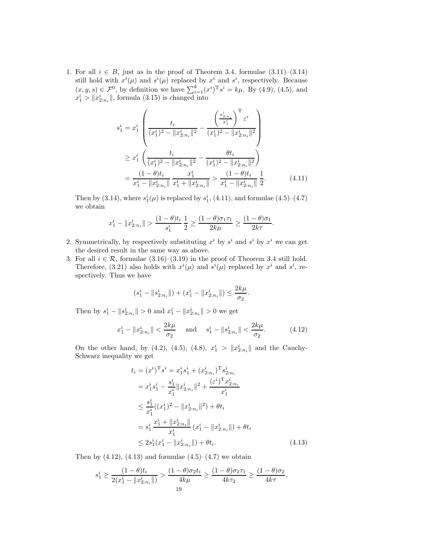1. For all  $i \in B$ , just as in the proof of Theorem 3.4, formulae  $(3.11)$ – $(3.14)$ still hold with  $x^{i}(\mu)$  and  $s^{i}(\mu)$  replaced by  $x^{i}$  and  $s^{i}$ , respectively. Because  $(x, y, s) \in \mathcal{F}^0$ , by definition we have  $\sum_{i=1}^k (x^i)^T s^i = k\mu$ . By (4.9), (4.5), and  $x_1^i > ||x_{2:n_i}^i||$ , formula (3.15) is changed into

$$
s_1^i = x_1^i \left( \frac{t_i}{(x_1^i)^2 - ||x_{2:n_i}^i||^2} - \frac{\left(\frac{x_{2:n_i}^i}{x_1^i}\right)^T \varepsilon^i}{(x_1^i)^2 - ||x_{2:n_i}^i||^2} \right)
$$
  
\n
$$
\geq x_1^i \left( \frac{t_i}{(x_1^i)^2 - ||x_{2:n_i}^i||^2} - \frac{\theta t_i}{(x_1^i)^2 - ||x_{2:n_i}^i||^2} \right)
$$
  
\n
$$
= \frac{(1 - \theta)t_i}{x_1^i - ||x_{2:n_i}^i||} \frac{x_1^i}{x_1^i + ||x_{2:n_i}^i||} > \frac{(1 - \theta)t_i}{x_1^i - ||x_{2:n_i}^i||} \frac{1}{2}.
$$
 (4.11)

Then by (3.14), where  $s_1^i(\mu)$  is replaced by  $s_1^i$ , (4.11), and formulae (4.5)–(4.7) we obtain

$$
x_1^i - \|x_{2:n_i}^i\| > \frac{(1-\theta)t_i}{s_1^i} \frac{1}{2} \ge \frac{(1-\theta)\sigma_1\tau_1}{2k\mu} \ge \frac{(1-\theta)\sigma_1}{2k\tau}.
$$

- 2. Symmetrically, by respectively substituting  $x^i$  by  $s^i$  and  $s^i$  by  $x^i$  we can get the desired result in the same way as above.
- 3. For all  $i \in \mathcal{R}$ , formulae (3.16)–(3.19) in the proof of Theorem 3.4 still hold. Therefore, (3.21) also holds with  $x^{i}(\mu)$  and  $s^{i}(\mu)$  replaced by  $x^{i}$  and  $s^{i}$ , respectively. Thus we have

$$
(s_1^i - ||s_{2:n_i}^i||) + (x_1^i - ||x_{2:n_i}^i||) \le \frac{2k\mu}{\sigma_2}.
$$

Then by  $s_1^i - ||s_{2:n_i}^i|| > 0$  and  $x_1^i - ||x_{2:n_i}^i|| > 0$  we get

$$
x_1^i - \|x_{2:n_i}^i\| < \frac{2k\mu}{\sigma_2} \quad \text{and} \quad s_1^i - \|s_{2:n_i}^i\| < \frac{2k\mu}{\sigma_2}.\tag{4.12}
$$

On the other hand, by (4.2), (4.5), (4.8),  $x_1^i > ||x_{2:n_i}^i||$  and the Cauchy-Schwarz inequality we get

$$
t_{i} = (x^{i})^{\mathrm{T}} s^{i} = x_{1}^{i} s_{1}^{i} + (x_{2:n_{i}}^{i})^{\mathrm{T}} s_{2:n_{i}}^{i}
$$
  
\n
$$
= x_{1}^{i} s_{1}^{i} - \frac{s_{1}^{i}}{x_{1}^{i}} \|x_{2:n_{i}}^{i}\|^{2} + \frac{(\varepsilon^{i})^{\mathrm{T}} x_{2:n_{i}}^{i}}{x_{1}^{i}}
$$
  
\n
$$
\leq \frac{s_{1}^{i}}{x_{1}^{i}} ((x_{1}^{i})^{2} - \|x_{2:n_{i}}^{i}\|^{2}) + \theta t_{i}
$$
  
\n
$$
= s_{1}^{i} \frac{x_{1}^{i} + \|x_{2:n_{i}}^{i}\|}{x_{1}^{i}} (x_{1}^{i} - \|x_{2:n_{i}}^{i}\|) + \theta t_{i}
$$
  
\n
$$
\leq 2s_{1}^{i} (x_{1}^{i} - \|x_{2:n_{i}}^{i}\|) + \theta t_{i}.
$$
\n(4.13)

Then by  $(4.12)$ ,  $(4.13)$  and formulae  $(4.5)$ – $(4.7)$  we obtain

$$
s_1^i \ge \frac{(1-\theta)t_i}{2(x_1^i - \|x_{2:n_i}^i\|)} > \frac{(1-\theta)\sigma_2 t_i}{4k\mu} \ge \frac{(1-\theta)\sigma_2 \tau_1}{4k\tau_2} \ge \frac{(1-\theta)\sigma_2}{4k\tau}.
$$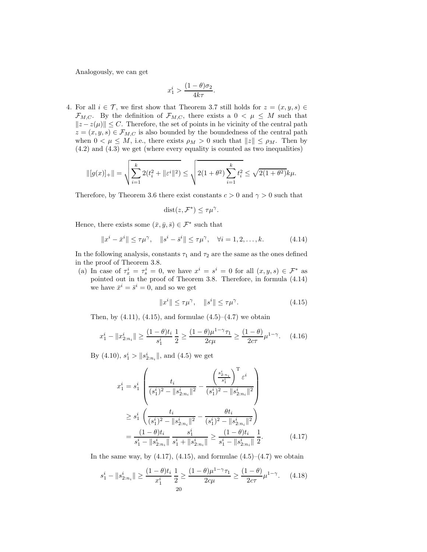Analogously, we can get

$$
x_1^i > \frac{(1-\theta)\sigma_2}{4k\tau}.
$$

4. For all  $i \in \mathcal{T}$ , we first show that Theorem 3.7 still holds for  $z = (x, y, s) \in$  $\mathcal{F}_{M,C}$ . By the definition of  $\mathcal{F}_{M,C}$ , there exists a  $0 < \mu \leq M$  such that  $||z - z(\mu)|| \leq C$ . Therefore, the set of points in he vicinity of the central path  $z = (x, y, s) \in \mathcal{F}_{M,C}$  is also bounded by the boundedness of the central path when  $0 < \mu \leq M$ , i.e., there exists  $\rho_M > 0$  such that  $||z|| \leq \rho_M$ . Then by (4.2) and (4.3) we get (where every equality is counted as two inequalities)

$$
\| [g(x)]_+\| = \sqrt{\sum_{i=1}^k 2(t_i^2 + \|\varepsilon^i\|^2)} \le \sqrt{2(1+\theta^2) \sum_{i=1}^k t_i^2} \le \sqrt{2(1+\theta^2)} k\mu.
$$

Therefore, by Theorem 3.6 there exist constants  $c > 0$  and  $\gamma > 0$  such that

$$
\text{dist}(z, \mathcal{F}^*) \leq \tau \mu^{\gamma}.
$$

Hence, there exists some  $(\bar{x}, \bar{y}, \bar{s}) \in \mathcal{F}^*$  such that

$$
||x^{i} - \bar{x}^{i}|| \le \tau \mu^{\gamma}, \quad ||s^{i} - \bar{s}^{i}|| \le \tau \mu^{\gamma}, \quad \forall i = 1, 2, ..., k.
$$
 (4.14)

In the following analysis, constants  $\tau_1$  and  $\tau_2$  are the same as the ones defined in the proof of Theorem 3.8.

(a) In case of  $\tau_x^i = \tau_s^i = 0$ , we have  $x^i = s^i = 0$  for all  $(x, y, s) \in \mathcal{F}^*$  as pointed out in the proof of Theorem 3.8. Therefore, in formula (4.14) we have  $\bar{x}^i = \bar{s}^i = 0$ , and so we get

$$
||x^i|| \le \tau \mu^\gamma, \quad ||s^i|| \le \tau \mu^\gamma. \tag{4.15}
$$

Then, by  $(4.11)$ ,  $(4.15)$ , and formulae  $(4.5)$ – $(4.7)$  we obtain

$$
x_1^i - \|x_{2:n_i}^i\| \ge \frac{(1-\theta)t_i}{s_1^i} \frac{1}{2} \ge \frac{(1-\theta)\mu^{1-\gamma}\tau_1}{2c\mu} \ge \frac{(1-\theta)}{2c\tau} \mu^{1-\gamma}.
$$
 (4.16)

By (4.10),  $s_1^i > ||s_{2:n_i}^i||$ , and (4.5) we get

$$
x_1^i = s_1^i \left( \frac{t_i}{(s_1^i)^2 - ||s_{2:n_i}^i||^2} - \frac{\left(\frac{s_{2:n_i}^i}{s_1^i}\right)^T \varepsilon^i}{(s_1^i)^2 - ||s_{2:n_i}^i||^2} \right)
$$
  
\n
$$
\geq s_1^i \left( \frac{t_i}{(s_1^i)^2 - ||s_{2:n_i}^i||^2} - \frac{\theta t_i}{(s_1^i)^2 - ||s_{2:n_i}^i||^2} \right)
$$
  
\n
$$
= \frac{(1 - \theta)t_i}{s_1^i - ||s_{2:n_i}^i||} \frac{s_1^i}{s_1^i + ||s_{2:n_i}^i||} \geq \frac{(1 - \theta)t_i}{s_1^i - ||s_{2:n_i}^i||} \frac{1}{2}.
$$
 (4.17)

In the same way, by  $(4.17)$ ,  $(4.15)$ , and formulae  $(4.5)-(4.7)$  we obtain

$$
s_1^i - \|s_{2:n_i}^i\| \ge \frac{(1-\theta)t_i}{x_1^i} \frac{1}{2} \ge \frac{(1-\theta)\mu^{1-\gamma}\tau_1}{2c\mu} \ge \frac{(1-\theta)}{2c\tau} \mu^{1-\gamma}.
$$
 (4.18)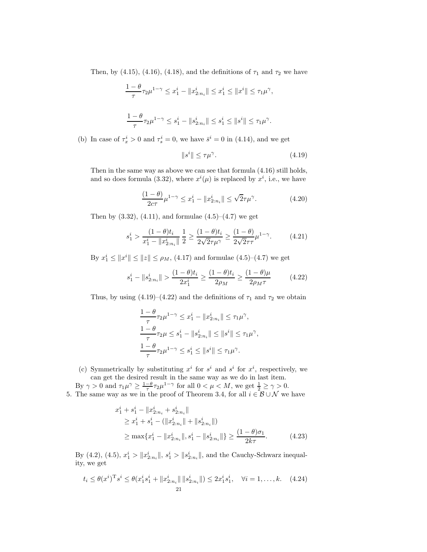Then, by (4.15), (4.16), (4.18), and the definitions of  $\tau_1$  and  $\tau_2$  we have

$$
\frac{1-\theta}{\tau}\tau_2\mu^{1-\gamma} \leq x_1^i - \|x_{2:n_i}^i\| \leq x_1^i \leq \|x^i\| \leq \tau_1\mu^{\gamma},
$$
  

$$
\frac{1-\theta}{\tau}\tau_2\mu^{1-\gamma} \leq s_1^i - \|s_{2:n_i}^i\| \leq s_1^i \leq \|s^i\| \leq \tau_1\mu^{\gamma}.
$$

(b) In case of  $\tau_x^i > 0$  and  $\tau_s^i = 0$ , we have  $\bar{s}^i = 0$  in (4.14), and we get

$$
||s^i|| \le \tau \mu^\gamma. \tag{4.19}
$$

Then in the same way as above we can see that formula (4.16) still holds, and so does formula (3.32), where  $x^{i}(\mu)$  is replaced by  $x^{i}$ , i.e., we have

$$
\frac{(1-\theta)}{2c\tau}\mu^{1-\gamma} \le x_1^i - \|x_{2:n_i}^i\| \le \sqrt{2}\tau\mu^\gamma. \tag{4.20}
$$

Then by  $(3.32)$ ,  $(4.11)$ , and formulae  $(4.5)$ – $(4.7)$  we get

$$
s_1^i > \frac{(1-\theta)t_i}{x_1^i - \|x_{2:n_i}^i\|} \frac{1}{2} \ge \frac{(1-\theta)t_i}{2\sqrt{2}\tau\mu^\gamma} \ge \frac{(1-\theta)}{2\sqrt{2}\tau\tau}\mu^{1-\gamma}.
$$
 (4.21)

By  $x_1^i \le ||x^i|| \le ||z|| \le \rho_M$ , (4.17) and formulae (4.5)–(4.7) we get

$$
s_1^i - \|s_{2:n_i}^i\| > \frac{(1-\theta)t_i}{2x_1^i} \ge \frac{(1-\theta)t_i}{2\rho_M} \ge \frac{(1-\theta)\mu}{2\rho_M\tau} \tag{4.22}
$$

Thus, by using  $(4.19)$ – $(4.22)$  and the definitions of  $\tau_1$  and  $\tau_2$  we obtain

$$
\frac{1-\theta}{\tau}\tau_2\mu^{1-\gamma} \leq x_1^i - \|x_{2:n_i}^i\| \leq \tau_1\mu^{\gamma},
$$
  

$$
\frac{1-\theta}{\tau}\tau_2\mu \leq s_1^i - \|s_{2:n_i}^i\| \leq \|s^i\| \leq \tau_1\mu^{\gamma},
$$
  

$$
\frac{1-\theta}{\tau}\tau_2\mu^{1-\gamma} \leq s_1^i \leq \|s^i\| \leq \tau_1\mu^{\gamma}.
$$

(c) Symmetrically by substituting  $x^i$  for  $s^i$  and  $s^i$  for  $x^i$ , respectively, we can get the desired result in the same way as we do in last item.

By  $\gamma > 0$  and  $\tau_1 \mu^{\gamma} \geq \frac{1-\theta}{\tau} \tau_2 \mu^{1-\gamma}$  for all  $0 < \mu < M$ , we get  $\frac{1}{2} \geq \gamma > 0$ . 5. The same way as we in the proof of Theorem 3.4, for all  $i \in \mathcal{B} \cup \mathcal{N}$  we have

$$
x_1^i + s_1^i - \|x_{2:n_i}^i + s_{2:n_i}^i\|
$$
  
\n
$$
\geq x_1^i + s_1^i - (\|x_{2:n_i}^i\| + \|s_{2:n_i}^i\|)
$$
  
\n
$$
\geq \max\{x_1^i - \|x_{2:n_i}^i\|, s_1^i - \|s_{2:n_i}^i\|\} \geq \frac{(1-\theta)\sigma_1}{2k\tau}.
$$
 (4.23)

By (4.2), (4.5),  $x_1^i > ||x_{2:n_i}^i||$ ,  $s_1^i > ||s_{2:n_i}^i||$ , and the Cauchy-Schwarz inequality, we get

$$
t_i \leq \theta(x^i)^{\mathrm{T}} s^i \leq \theta(x_1^i s_1^i + \|x_{2:n_i}^i\| \|s_{2:n_i}^i\|) \leq 2x_1^i s_1^i, \quad \forall i = 1, \dots, k. \tag{4.24}
$$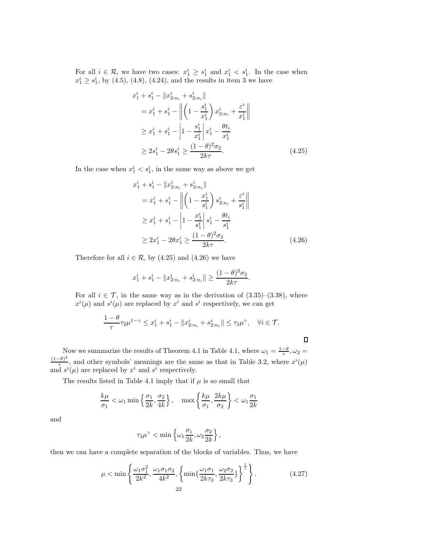For all  $i \in \mathcal{R}$ , we have two cases:  $x_1^i \geq s_1^i$  and  $x_1^i < s_1^i$ . In the case when  $x_1^i \geq s_1^i$ , by (4.5), (4.8), (4.24), and the results in item 3 we have

$$
x_1^i + s_1^i - \|x_{2:n_i}^i + s_{2:n_i}^i\|
$$
  
=  $x_1^i + s_1^i - \left\| \left(1 - \frac{s_1^i}{x_1^i}\right) x_{2:n_i}^i + \frac{\varepsilon^i}{x_1^i} \right\|$   

$$
\geq x_1^i + s_1^i - \left| 1 - \frac{s_1^i}{x_1^i} \right| x_1^i - \frac{\theta t_i}{x_1^i}
$$
  

$$
\geq 2s_1^i - 2\theta s_1^i \geq \frac{(1-\theta)^2 \sigma_2}{2k\tau}.
$$
 (4.25)

In the case when  $x_1^i < s_1^i$ , in the same way as above we get

$$
x_1^i + s_1^i - \|x_{2:n_i}^i + s_{2:n_i}^i\|
$$
  
=  $x_1^i + s_1^i - \left\| \left( 1 - \frac{x_1^i}{s_1^i} \right) s_{2:n_i}^i + \frac{\varepsilon^i}{s_1^i} \right\|$   

$$
\geq x_1^i + s_1^i - \left| 1 - \frac{x_1^i}{s_1^i} \right| s_1^i - \frac{\theta t_i}{s_1^i}
$$
  

$$
\geq 2x_1^i - 2\theta x_1^i \geq \frac{(1-\theta)^2 \sigma_2}{2k\tau}.
$$
 (4.26)

 $\Box$ 

Therefore for all  $i \in \mathcal{R}$ , by (4.25) and (4.26) we have

$$
x_1^i + s_1^i - \|x_{2:n_i}^i + s_{2:n_i}^i\| \ge \frac{(1-\theta)^2 \sigma_2}{2k\tau}.
$$

For all  $i \in \mathcal{T}$ , in the same way as in the derivation of  $(3.35)-(3.38)$ , where  $x^{i}(\mu)$  and  $s^{i}(\mu)$  are replaced by  $x^{i}$  and  $s^{i}$  respectively, we can get

$$
\frac{1-\theta}{\tau}\tau_2\mu^{1-\gamma} \leq x_1^i + s_1^i - \|x_{2:n_i}^i + s_{2:n_i}^i\| \leq \tau_3\mu^{\gamma}, \quad \forall i \in \mathcal{T}.
$$

Now we summarize the results of Theorem 4.1 in Table 4.1, where  $\omega_1 = \frac{1-\theta}{\tau}, \omega_2 =$  $(1-\theta)^2$  $\frac{(-\theta)^2}{\tau}$ , and other symbols' meanings are the same as that in Table 3.2, where  $x^i(\mu)$ and  $s^i(\mu)$  are replaced by  $x^i$  and  $s^i$  respectively.

The results listed in Table 4.1 imply that if  $\mu$  is so small that

$$
\frac{k\mu}{\sigma_1} < \omega_1 \min\left\{\frac{\sigma_1}{2k}, \frac{\sigma_2}{4k}\right\}, \quad \max\left\{\frac{k\mu}{\sigma_1}, \frac{2k\mu}{\sigma_2}\right\} < \omega_1 \frac{\sigma_1}{2k}
$$

and

$$
\tau_3\mu^{\gamma} < \min\left\{\omega_1\frac{\sigma_1}{2k}, \omega_2\frac{\sigma_2}{2k}\right\},\
$$

then we can have a complete separation of the blocks of variables. Thus, we have

$$
\mu < \min\left\{\frac{\omega_1 \sigma_1^2}{2k^2}, \frac{\omega_1 \sigma_1 \sigma_2}{4k^2}, \left\{\min\{\frac{\omega_1 \sigma_1}{2k\tau_3}, \frac{\omega_2 \sigma_2}{2k\tau_3}\}\right\}^{\frac{1}{\gamma}}\right\}.
$$
\n(4.27)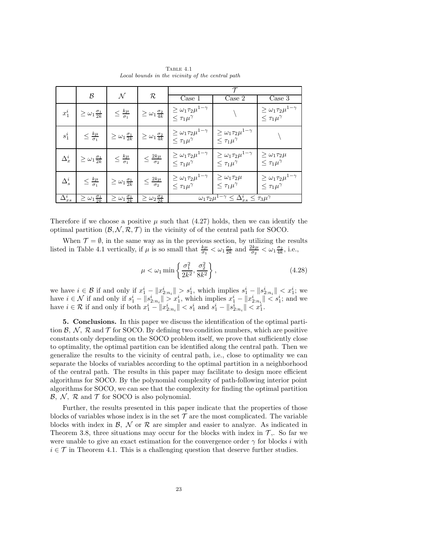|                 | $\mathcal B$                        | $\mathcal N$                        | $\mathcal R$                        |                                                                     |                                                                                         | $\overline{\text{Case}} 1$                                          | Case 2 | Case $\overline{3}$ |
|-----------------|-------------------------------------|-------------------------------------|-------------------------------------|---------------------------------------------------------------------|-----------------------------------------------------------------------------------------|---------------------------------------------------------------------|--------|---------------------|
| $x_1^i$         | $\geq \omega_1 \frac{\sigma_1}{2k}$ | $\leq \frac{k\mu}{\sigma_1}$        | $\geq \omega_1 \frac{\sigma_2}{4k}$ | $\geq \omega_1 \tau_2 \mu^{1-\gamma}$<br>$\leq \tau_1 \mu^{\gamma}$ |                                                                                         | $\geq \omega_1 \tau_2 \mu^{1-\gamma}$<br>$\leq \tau_1 \mu^{\gamma}$ |        |                     |
| $s_1^i$         | $\leq \frac{k\mu}{\sigma_1}$        | $\geq \omega_1 \frac{\sigma_1}{2k}$ | $\geq \omega_1 \frac{\sigma_2}{4k}$ | $\geq \omega_1 \tau_2 \mu^{1-\gamma}$<br>$\leq \tau_1 \mu^{\gamma}$ | $\geq \omega_1 \tau_2 \mu^{1-\gamma}$<br>$\leq \tau_1 \mu^{\gamma}$                     |                                                                     |        |                     |
| $\Delta_x^i$    | $\geq \omega_1 \frac{\sigma_1}{2k}$ | $\leq \frac{k\mu}{\sigma_1}$        | $\leq \frac{2k\mu}{\sigma_2}$       | $\geq \omega_1 \tau_2 \mu^{1-\gamma}$<br>$\leq \tau_1 \mu^{\gamma}$ | $\geq \omega_1 \tau_2 \mu^{1-\gamma}$<br>$\leq \tau_1 \mu^{\gamma}$                     | $\geq \omega_1 \tau_2 \mu$<br>$\leq \tau_1 \mu^{\gamma}$            |        |                     |
| $\Delta^i_s$    | $\leq \frac{k\mu}{\sigma_1}$        | $\geq \omega_1 \frac{\sigma_1}{2k}$ | $\leq \frac{2k\mu}{\sigma_2}$       | $\geq \omega_1 \tau_2 \mu^{1-\gamma}$<br>$\leq \tau_1 \mu^{\gamma}$ | $\geq \omega_1 \tau_2 \mu$<br>$\leq \tau_1 \mu^{\gamma}$                                | $\geq \omega_1 \tau_2 \mu^{1-\gamma}$<br>$\leq \tau_1 \mu^\gamma$   |        |                     |
| $\Delta^i_{xs}$ | $\geq \omega_1 \frac{\sigma_1}{2k}$ | $\geq \omega_1 \frac{\sigma_1}{2k}$ | $\geq \omega_2 \frac{\sigma_2}{2k}$ |                                                                     | $\overline{\omega_1 \tau_2 \mu^{1-\gamma} \leq \Delta_{xs}^i} \leq \tau_3 \mu^{\gamma}$ |                                                                     |        |                     |

Table 4.1 *Local bounds in the vicinity of the central path*

Therefore if we choose a positive  $\mu$  such that (4.27) holds, then we can identify the optimal partition  $(\mathcal{B}, \mathcal{N}, \mathcal{R}, \mathcal{T})$  in the vicinity of of the central path for SOCO.

When  $\mathcal{T} = \emptyset$ , in the same way as in the previous section, by utilizing the results listed in Table 4.1 vertically, if  $\mu$  is so small that  $\frac{k\mu}{\sigma_1} < \omega_1 \frac{\sigma_1}{2k}$  and  $\frac{2k\mu}{\sigma_2} < \omega_1 \frac{\sigma_2}{4k}$ , i.e.,

$$
\mu < \omega_1 \min \left\{ \frac{\sigma_1^2}{2k^2}, \frac{\sigma_2^2}{8k^2} \right\},\tag{4.28}
$$

we have  $i \in \mathcal{B}$  if and only if  $x_1^i - ||x_{2:n_i}^i|| > s_1^i$ , which implies  $s_1^i - ||s_{2:n_i}^i|| < x_1^i$ ; we have  $i \in \mathcal{N}$  if and only if  $s_1^i - ||s_{2:n_i}^i|| > x_1^i$ , which implies  $x_1^i - ||x_{2:n_i}^i|| < s_1^i$ ; and we have  $i \in \mathcal{R}$  if and only if both  $x_1^i - ||x_{2:n_i}^i|| < s_1^i$  and  $s_1^i - ||s_{2:n_i}^i|| < x_1^i$ .

5. Conclusions. In this paper we discuss the identification of the optimal partition  $\mathcal{B}, \mathcal{N}, \mathcal{R}$  and  $\mathcal{T}$  for SOCO. By defining two condition numbers, which are positive constants only depending on the SOCO problem itself, we prove that sufficiently close to optimality, the optimal partition can be identified along the central path. Then we generalize the results to the vicinity of central path, i.e., close to optimality we can separate the blocks of variables according to the optimal partition in a neighborhood of the central path. The results in this paper may facilitate to design more efficient algorithms for SOCO. By the polynomial complexity of path-following interior point algorithms for SOCO, we can see that the complexity for finding the optimal partition  $\mathcal{B}, \mathcal{N}, \mathcal{R}$  and  $\mathcal{T}$  for SOCO is also polynomial.

Further, the results presented in this paper indicate that the properties of those blocks of variables whose index is in the set  $\mathcal T$  are the most complicated. The variable blocks with index in  $\mathcal{B}, \mathcal{N}$  or  $\mathcal{R}$  are simpler and easier to analyze. As indicated in Theorem 3.8, three situations may occur for the blocks with index in  $\mathcal{T}$ . So far we were unable to give an exact estimation for the convergence order  $\gamma$  for blocks i with  $i \in \mathcal{T}$  in Theorem 4.1. This is a challenging question that deserve further studies.